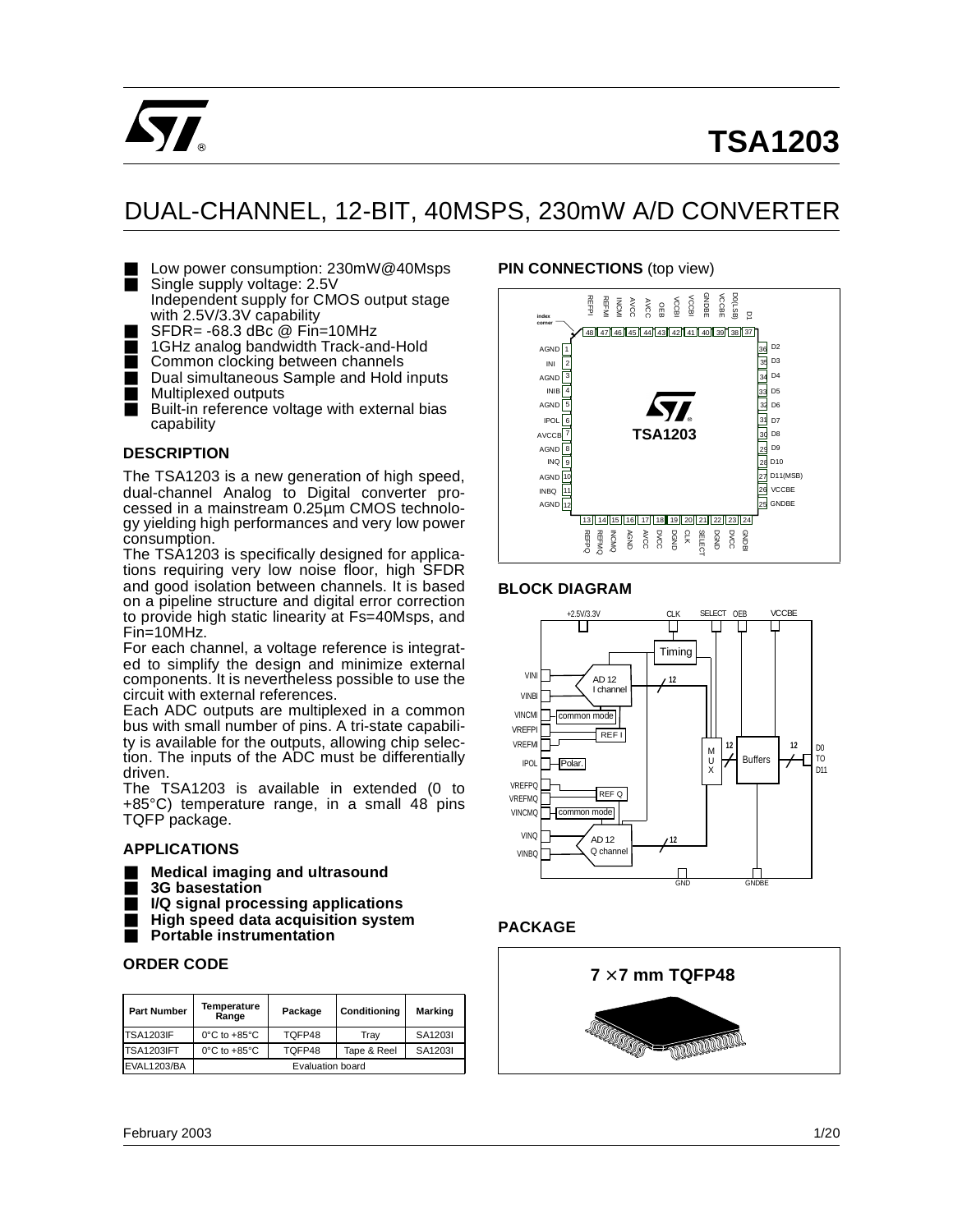

# **TSA1203**

## DUAL-CHANNEL, 12-BIT, 40MSPS, 230mW A/D CONVERTER

■ Low power consumption: 230mW@40Msps ■ Single supply voltage: 2.5V

Independent supply for CMOS output stage with 2.5V/3.3V capability

- SFDR= -68.3 dBc @ Fin=10MHz<br>■ 1GHz analog bandwidth Track-ar
- 1GHz analog bandwidth Track-and-Hold
- Common clocking between channels
- Dual simultaneous Sample and Hold inputs<br>■ Multiplexed outputs Multiplexed outputs
- Built-in reference voltage with external bias capability

## **DESCRIPTION**

The TSA1203 is a new generation of high speed, dual-channel Analog to Digital converter processed in a mainstream 0.25µm CMOS technology yielding high performances and very low power consumption.

The TSA1203 is specifically designed for applications requiring very low noise floor, high SFDR and good isolation between channels. It is based on a pipeline structure and digital error correction to provide high static linearity at Fs=40Msps, and Fin=10MHz.

For each channel, a voltage reference is integrated to simplify the design and minimize external components. It is nevertheless possible to use the circuit with external references.

Each ADC outputs are multiplexed in a common bus with small number of pins. A tri-state capability is available for the outputs, allowing chip selection. The inputs of the ADC must be differentially driven.

The TSA1203 is available in extended (0 to  $+85^{\circ}$ C) temperature range, in a small 48 pins TQFP package.

#### **APPLICATIONS**

- **Medical imaging and ultrasound**
- **3G basestation**
- **I/Q signal processing applications**
- **High speed data acquisition system**
- **Portable instrumentation**

#### **ORDER CODE**

| <b>Part Number</b> | Temperature<br>Range              | Package          | Conditioning | Marking |
|--------------------|-----------------------------------|------------------|--------------|---------|
| <b>TSA1203IF</b>   | $0^{\circ}$ C to +85 $^{\circ}$ C | TQFP48           | Trav         | SA1203I |
| <b>TSA1203IFT</b>  | $0^{\circ}$ C to +85 $^{\circ}$ C | TOFP48           | Tape & Reel  | SA1203I |
| <b>EVAL1203/BA</b> |                                   | Evaluation board |              |         |

## **PIN CONNECTIONS** (top view)



## **BLOCK DIAGRAM**



## **PACKAGE**

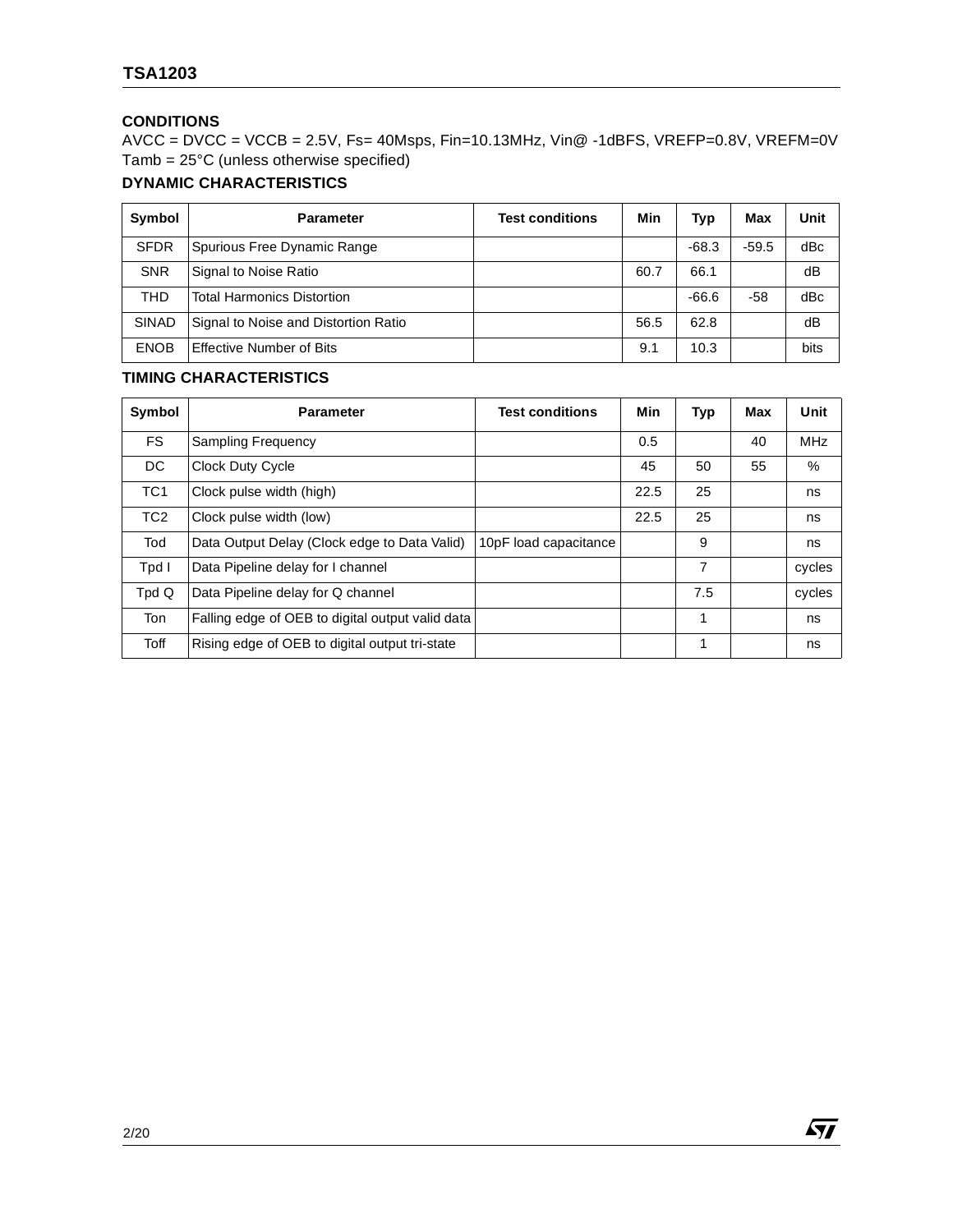## **CONDITIONS**

AVCC = DVCC = VCCB = 2.5V, Fs= 40Msps, Fin=10.13MHz, Vin@ -1dBFS, VREFP=0.8V, VREFM=0V Tamb = 25°C (unless otherwise specified)

## **DYNAMIC CHARACTERISTICS**

| Symbol       | <b>Parameter</b>                     | <b>Test conditions</b> | Min  | Typ     | Max     | Unit |
|--------------|--------------------------------------|------------------------|------|---------|---------|------|
| <b>SFDR</b>  | Spurious Free Dynamic Range          |                        |      | $-68.3$ | $-59.5$ | dBc  |
| <b>SNR</b>   | Signal to Noise Ratio                |                        | 60.7 | 66.1    |         | dB   |
| <b>THD</b>   | <b>Total Harmonics Distortion</b>    |                        |      | $-66.6$ | -58     | dBc  |
| <b>SINAD</b> | Signal to Noise and Distortion Ratio |                        | 56.5 | 62.8    |         | dB   |
| <b>ENOB</b>  | Effective Number of Bits             |                        | 9.1  | 10.3    |         | bits |

## **TIMING CHARACTERISTICS**

| Symbol          | <b>Parameter</b>                                 | <b>Test conditions</b> | Min  | Typ | Max | Unit       |
|-----------------|--------------------------------------------------|------------------------|------|-----|-----|------------|
| <b>FS</b>       | Sampling Frequency                               |                        | 0.5  |     | 40  | <b>MHz</b> |
| DC              | <b>Clock Duty Cycle</b>                          |                        | 45   | 50  | 55  | $\%$       |
| TC <sub>1</sub> | Clock pulse width (high)                         |                        | 22.5 | 25  |     | ns         |
| TC <sub>2</sub> | Clock pulse width (low)                          |                        | 22.5 | 25  |     | ns         |
| Tod             | Data Output Delay (Clock edge to Data Valid)     | 10pF load capacitance  |      | 9   |     | ns         |
| Tpd I           | Data Pipeline delay for I channel                |                        |      | 7   |     | cycles     |
| Tpd Q           | Data Pipeline delay for Q channel                |                        |      | 7.5 |     | cycles     |
| Ton             | Falling edge of OEB to digital output valid data |                        |      | 1   |     | ns         |
| Toff            | Rising edge of OEB to digital output tri-state   |                        |      | 1   |     | ns         |

2/20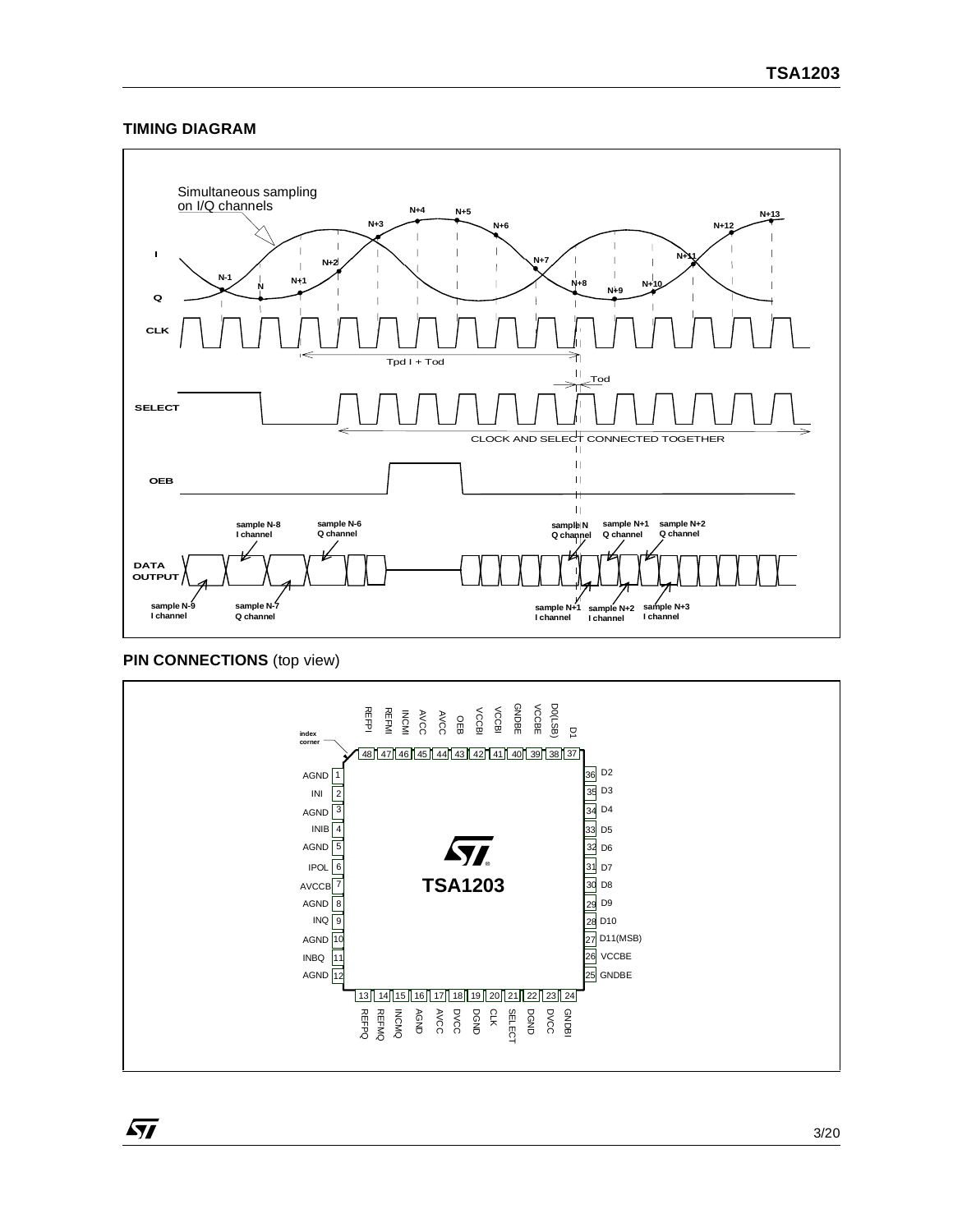## **TIMING DIAGRAM**



## **PIN CONNECTIONS** (top view)

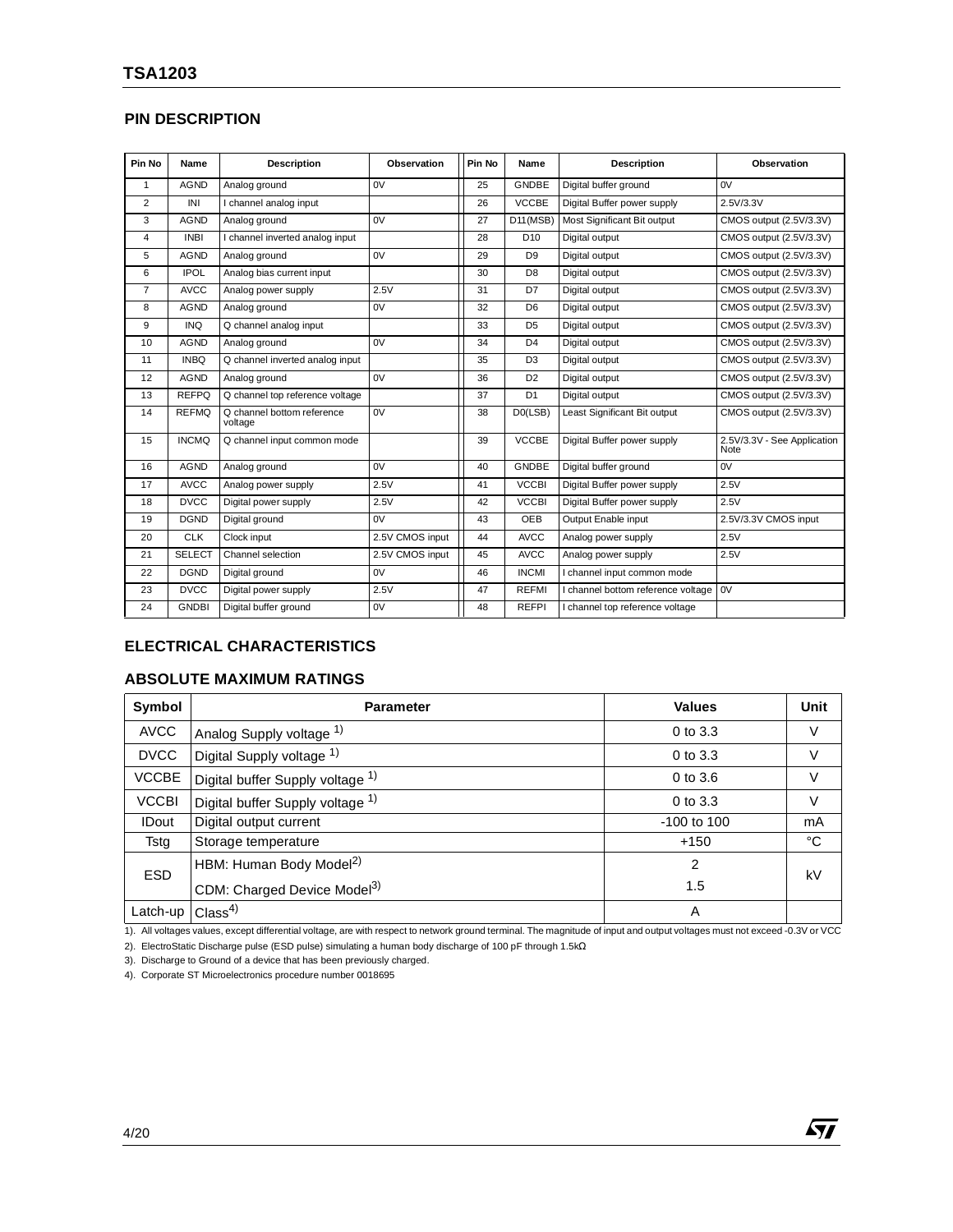## **PIN DESCRIPTION**

| Pin No         | Name          | <b>Description</b>                    | Observation     | Pin No | Name                 | <b>Description</b>                 | Observation                         |
|----------------|---------------|---------------------------------------|-----------------|--------|----------------------|------------------------------------|-------------------------------------|
| $\mathbf{1}$   | <b>AGND</b>   | Analog ground                         | 0V              | 25     | <b>GNDBE</b>         | Digital buffer ground              | 0V                                  |
| $\overline{2}$ | INI           | I channel analog input                |                 | 26     | <b>VCCBE</b>         | Digital Buffer power supply        | 2.5V/3.3V                           |
| 3              | <b>AGND</b>   | Analog ground                         | 0V              | 27     | D11(MSB)             | Most Significant Bit output        | CMOS output (2.5V/3.3V)             |
| $\overline{4}$ | <b>INBI</b>   | I channel inverted analog input       |                 | 28     | D <sub>10</sub>      | Digital output                     | CMOS output (2.5V/3.3V)             |
| 5              | <b>AGND</b>   | Analog ground                         | 0V              | 29     | D <sub>9</sub>       | Digital output                     | CMOS output (2.5V/3.3V)             |
| 6              | <b>IPOL</b>   | Analog bias current input             |                 | 30     | D <sub>8</sub>       | Digital output                     | CMOS output (2.5V/3.3V)             |
| $\overline{7}$ | <b>AVCC</b>   | Analog power supply                   | 2.5V            | 31     | D7                   | Digital output                     | CMOS output (2.5V/3.3V)             |
| 8              | <b>AGND</b>   | Analog ground                         | 0V              | 32     | D <sub>6</sub>       | Digital output                     | CMOS output (2.5V/3.3V)             |
| 9              | <b>INQ</b>    | Q channel analog input                |                 | 33     | D <sub>5</sub>       | Digital output                     | CMOS output (2.5V/3.3V)             |
| 10             | <b>AGND</b>   | Analog ground                         | 0V              | 34     | D <sub>4</sub>       | Digital output                     | CMOS output (2.5V/3.3V)             |
| 11             | <b>INBQ</b>   | Q channel inverted analog input       |                 | 35     | D <sub>3</sub>       | Digital output                     | CMOS output (2.5V/3.3V)             |
| 12             | <b>AGND</b>   | Analog ground                         | 0V              | 36     | D <sub>2</sub>       | Digital output                     | CMOS output (2.5V/3.3V)             |
| 13             | <b>REFPQ</b>  | Q channel top reference voltage       |                 | 37     | D <sub>1</sub>       | Digital output                     | CMOS output (2.5V/3.3V)             |
| 14             | <b>REFMQ</b>  | Q channel bottom reference<br>voltage | 0V              | 38     | D <sub>0</sub> (LSB) | Least Significant Bit output       | CMOS output (2.5V/3.3V)             |
| 15             | <b>INCMQ</b>  | Q channel input common mode           |                 | 39     | <b>VCCBE</b>         | Digital Buffer power supply        | 2.5V/3.3V - See Application<br>Note |
| 16             | <b>AGND</b>   | Analog ground                         | 0V              | 40     | <b>GNDBE</b>         | Digital buffer ground              | 0V                                  |
| 17             | <b>AVCC</b>   | Analog power supply                   | 2.5V            | 41     | <b>VCCBI</b>         | Digital Buffer power supply        | 2.5V                                |
| 18             | <b>DVCC</b>   | Digital power supply                  | 2.5V            | 42     | <b>VCCBI</b>         | Digital Buffer power supply        | 2.5V                                |
| 19             | <b>DGND</b>   | Digital ground                        | 0V              | 43     | OEB                  | Output Enable input                | 2.5V/3.3V CMOS input                |
| 20             | <b>CLK</b>    | Clock input                           | 2.5V CMOS input | 44     | <b>AVCC</b>          | Analog power supply                | 2.5V                                |
| 21             | <b>SELECT</b> | Channel selection                     | 2.5V CMOS input | 45     | <b>AVCC</b>          | Analog power supply                | 2.5V                                |
| 22             | <b>DGND</b>   | Digital ground                        | 0V              | 46     | <b>INCMI</b>         | I channel input common mode        |                                     |
| 23             | <b>DVCC</b>   | Digital power supply                  | 2.5V            | 47     | <b>REFMI</b>         | I channel bottom reference voltage | 0V                                  |
| 24             | <b>GNDBI</b>  | Digital buffer ground                 | 0V              | 48     | <b>REFPI</b>         | I channel top reference voltage    |                                     |

## **ELECTRICAL CHARACTERISTICS**

## **ABSOLUTE MAXIMUM RATINGS**

| Symbol       | <b>Parameter</b>                        | <b>Values</b> | Unit        |
|--------------|-----------------------------------------|---------------|-------------|
| <b>AVCC</b>  | Analog Supply voltage 1)                | $0$ to $3.3$  | V           |
| <b>DVCC</b>  | Digital Supply voltage 1)               | $0$ to $3.3$  | V           |
| <b>VCCBE</b> | Digital buffer Supply voltage 1)        | 0 to 3.6      | $\vee$      |
| <b>VCCBI</b> | Digital buffer Supply voltage 1)        | 0 to 3.3      | V           |
| <b>IDout</b> | Digital output current                  | -100 to 100   | mA          |
| Tstg         | Storage temperature                     | $+150$        | $^{\circ}C$ |
| <b>ESD</b>   | HBM: Human Body Model <sup>2)</sup>     | 2             | kV          |
|              | CDM: Charged Device Model <sup>3)</sup> | 1.5           |             |
| Latch-up     | Class <sup>4</sup>                      | A             |             |

1). All voltages values, except differential voltage, are with respect to network ground terminal. The magnitude of input and output voltages must not exceed -0.3V or VCC

57

2). ElectroStatic Discharge pulse (ESD pulse) simulating a human body discharge of 100 pF through 1.5kΩ

3). Discharge to Ground of a device that has been previously charged.

4). Corporate ST Microelectronics procedure number 0018695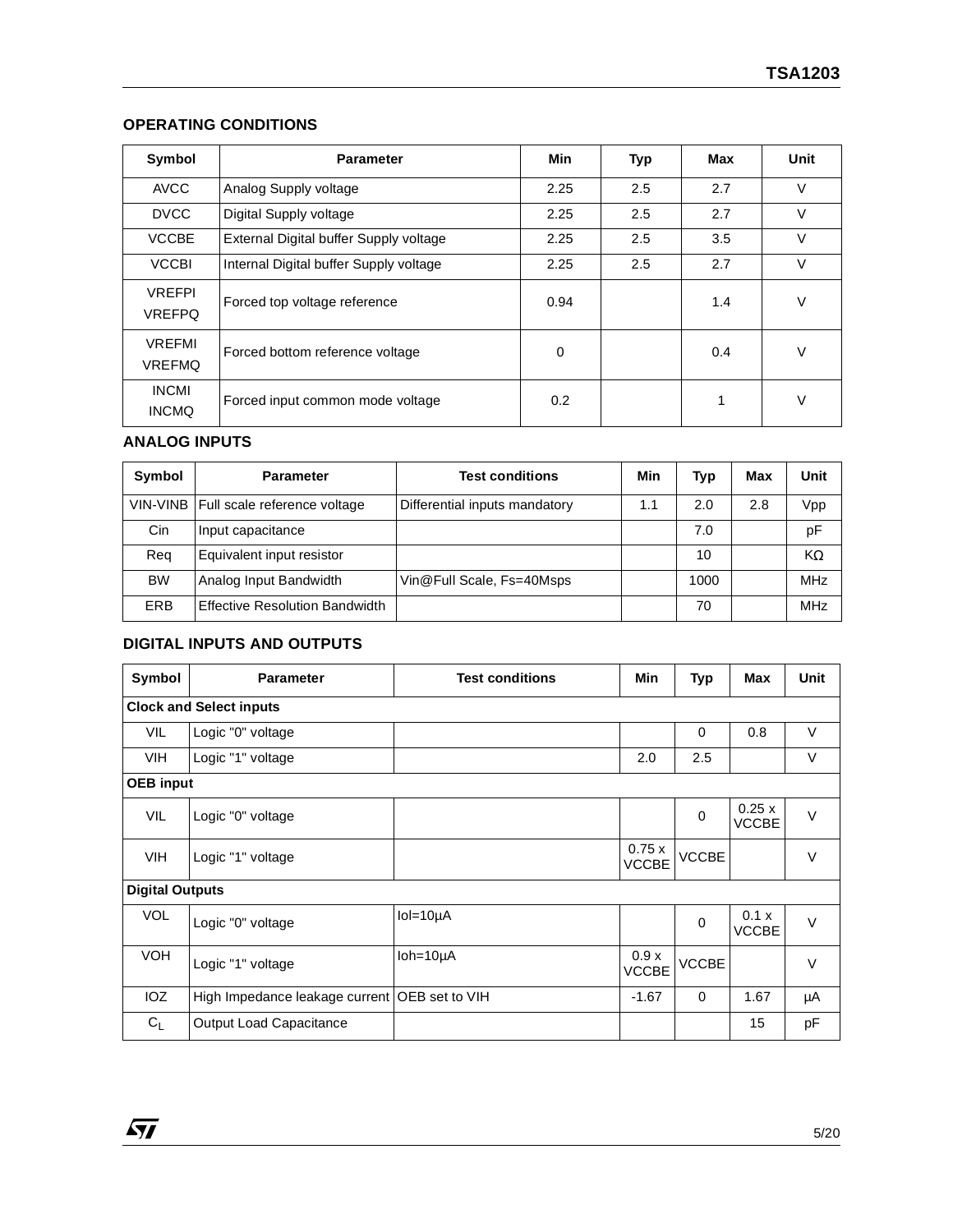## **OPERATING CONDITIONS**

| Symbol                         | <b>Parameter</b>                       | Min         | Typ | Max | Unit   |
|--------------------------------|----------------------------------------|-------------|-----|-----|--------|
| <b>AVCC</b>                    | Analog Supply voltage                  | 2.25        | 2.5 | 2.7 | $\vee$ |
| <b>DVCC</b>                    | Digital Supply voltage                 | 2.25        | 2.5 | 2.7 | $\vee$ |
| <b>VCCBE</b>                   | External Digital buffer Supply voltage | 2.25        | 2.5 | 3.5 | $\vee$ |
| <b>VCCBI</b>                   | Internal Digital buffer Supply voltage | 2.25        | 2.5 | 2.7 | V      |
| <b>VREFPI</b><br><b>VREFPQ</b> | Forced top voltage reference           | 0.94        |     | 1.4 | $\vee$ |
| <b>VREFMI</b><br><b>VREFMQ</b> | Forced bottom reference voltage        | $\mathbf 0$ |     | 0.4 | $\vee$ |
| <b>INCMI</b><br><b>INCMQ</b>   | Forced input common mode voltage       | 0.2         |     | 1   | $\vee$ |

## **ANALOG INPUTS**

 $\sqrt{M}$ 

| Symbol     | <b>Parameter</b>                        | <b>Test conditions</b>        | Min | <b>Typ</b> | Max | Unit       |
|------------|-----------------------------------------|-------------------------------|-----|------------|-----|------------|
|            | VIN-VINB   Full scale reference voltage | Differential inputs mandatory | 1.1 | 2.0        | 2.8 | Vpp        |
| Cin        | Input capacitance                       |                               |     | 7.0        |     | pF         |
| Reg        | Equivalent input resistor               |                               |     | 10         |     | KΩ         |
| <b>BW</b>  | Analog Input Bandwidth                  | Vin@Full Scale, Fs=40Msps     |     | 1000       |     | <b>MHz</b> |
| <b>ERB</b> | <b>Effective Resolution Bandwidth</b>   |                               |     | 70         |     | <b>MHz</b> |

## **DIGITAL INPUTS AND OUTPUTS**

| Symbol                 | <b>Parameter</b>                                | <b>Test conditions</b> | Min                   | Typ          | Max                   | <b>Unit</b> |
|------------------------|-------------------------------------------------|------------------------|-----------------------|--------------|-----------------------|-------------|
|                        | <b>Clock and Select inputs</b>                  |                        |                       |              |                       |             |
| <b>VIL</b>             | Logic "0" voltage                               |                        |                       | $\Omega$     | 0.8                   | $\vee$      |
| <b>VIH</b>             | Logic "1" voltage                               |                        | 2.0                   | 2.5          |                       | $\vee$      |
| <b>OEB</b> input       |                                                 |                        |                       |              |                       |             |
| <b>VIL</b>             | Logic "0" voltage                               |                        |                       | $\mathbf 0$  | 0.25x<br><b>VCCBE</b> | $\vee$      |
| <b>VIH</b>             | Logic "1" voltage                               |                        | 0.75x<br><b>VCCBE</b> | <b>VCCBE</b> |                       | $\vee$      |
| <b>Digital Outputs</b> |                                                 |                        |                       |              |                       |             |
| <b>VOL</b>             | Logic "0" voltage                               | $IoI = 10µA$           |                       | $\mathbf 0$  | 0.1 x<br><b>VCCBE</b> | $\vee$      |
| <b>VOH</b>             | Logic "1" voltage                               | $I$ oh=10 $\mu$ A      | 0.9x<br><b>VCCBE</b>  | <b>VCCBE</b> |                       | $\vee$      |
| IOZ                    | High Impedance leakage current   OEB set to VIH |                        | $-1.67$               | $\Omega$     | 1.67                  | μA          |
| $C_{L}$                | <b>Output Load Capacitance</b>                  |                        |                       |              | 15                    | pF          |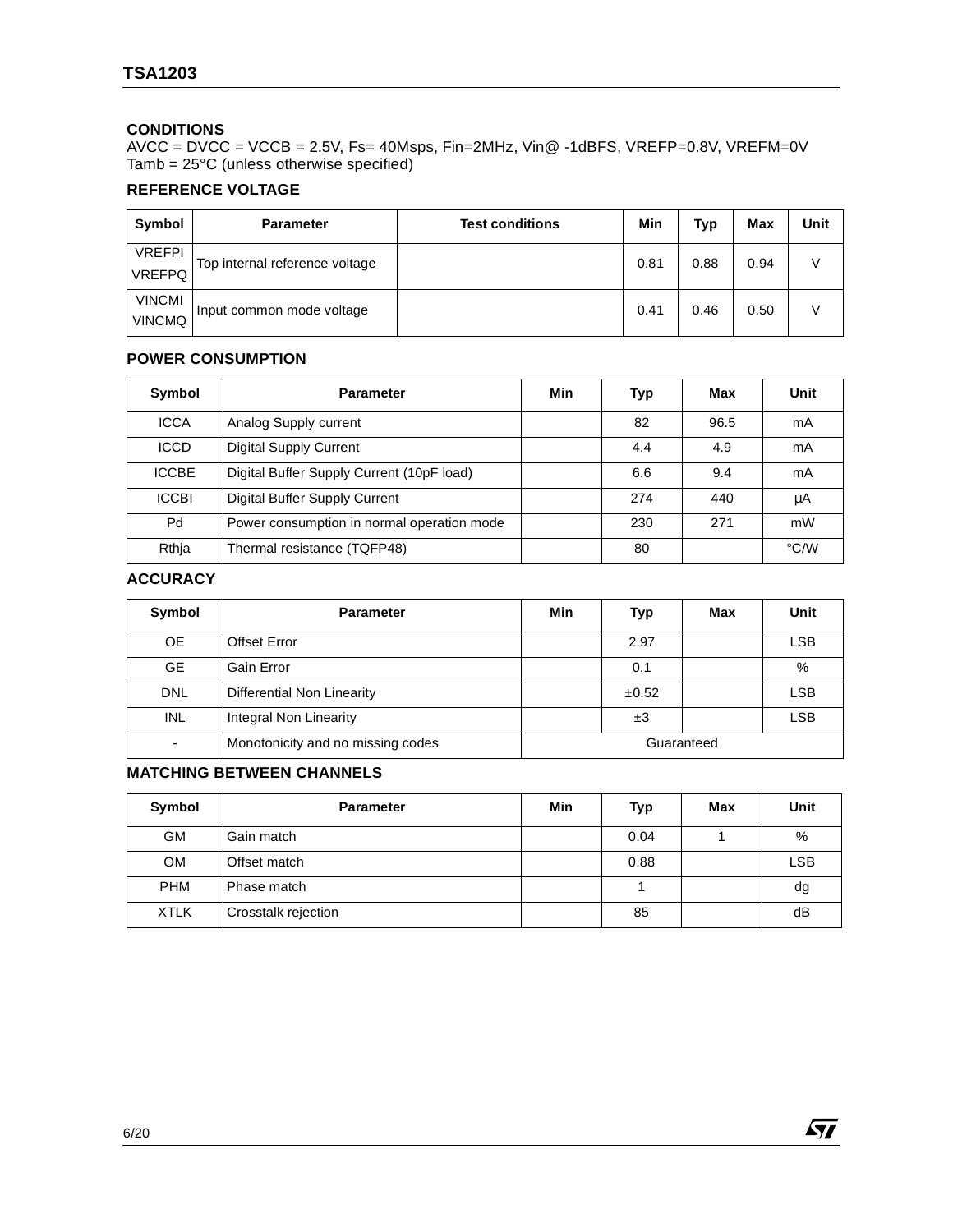## **CONDITIONS**

AVCC = DVCC = VCCB = 2.5V, Fs= 40Msps, Fin=2MHz, Vin@ -1dBFS, VREFP=0.8V, VREFM=0V Tamb = 25°C (unless otherwise specified)

## **REFERENCE VOLTAGE**

| Symbol                         | <b>Parameter</b>               | <b>Test conditions</b> | Min  | <b>Typ</b> | Max  | Unit |
|--------------------------------|--------------------------------|------------------------|------|------------|------|------|
| <b>VREFPI</b><br><b>VREFPQ</b> | Top internal reference voltage |                        | 0.81 | 0.88       | 0.94 |      |
| <b>VINCMI</b><br><b>VINCMQ</b> | Input common mode voltage      |                        | 0.41 | 0.46       | 0.50 |      |

## **POWER CONSUMPTION**

| Symbol       | <b>Parameter</b>                           | Min | Typ | Max  | Unit |
|--------------|--------------------------------------------|-----|-----|------|------|
| <b>ICCA</b>  | Analog Supply current                      |     | 82  | 96.5 | mA   |
| <b>ICCD</b>  | <b>Digital Supply Current</b>              |     | 4.4 | 4.9  | mA   |
| <b>ICCBE</b> | Digital Buffer Supply Current (10pF load)  |     | 6.6 | 9.4  | mA   |
| <b>ICCBI</b> | Digital Buffer Supply Current              |     | 274 | 440  | μA   |
| Pd           | Power consumption in normal operation mode |     | 230 | 271  | mW   |
| Rthja        | Thermal resistance (TQFP48)                |     | 80  |      | °C/W |

## **ACCURACY**

| Symbol     | <b>Parameter</b>                  | Min | Typ   | Max        | Unit       |
|------------|-----------------------------------|-----|-------|------------|------------|
| <b>OE</b>  | <b>Offset Error</b>               |     | 2.97  |            | <b>LSB</b> |
| <b>GE</b>  | Gain Error                        |     | 0.1   |            | %          |
| <b>DNL</b> | Differential Non Linearity        |     | ±0.52 |            | <b>LSB</b> |
| <b>INL</b> | Integral Non Linearity            |     | ±3    |            | <b>LSB</b> |
|            | Monotonicity and no missing codes |     |       | Guaranteed |            |

## **MATCHING BETWEEN CHANNELS**

| Symbol      | <b>Parameter</b>    | <b>Min</b> | Typ  | Max | Unit       |
|-------------|---------------------|------------|------|-----|------------|
| <b>GM</b>   | Gain match          |            | 0.04 |     | %          |
| <b>OM</b>   | Offset match        |            | 0.88 |     | <b>LSB</b> |
| <b>PHM</b>  | Phase match         |            |      |     | dg         |
| <b>XTLK</b> | Crosstalk rejection |            | 85   |     | dB         |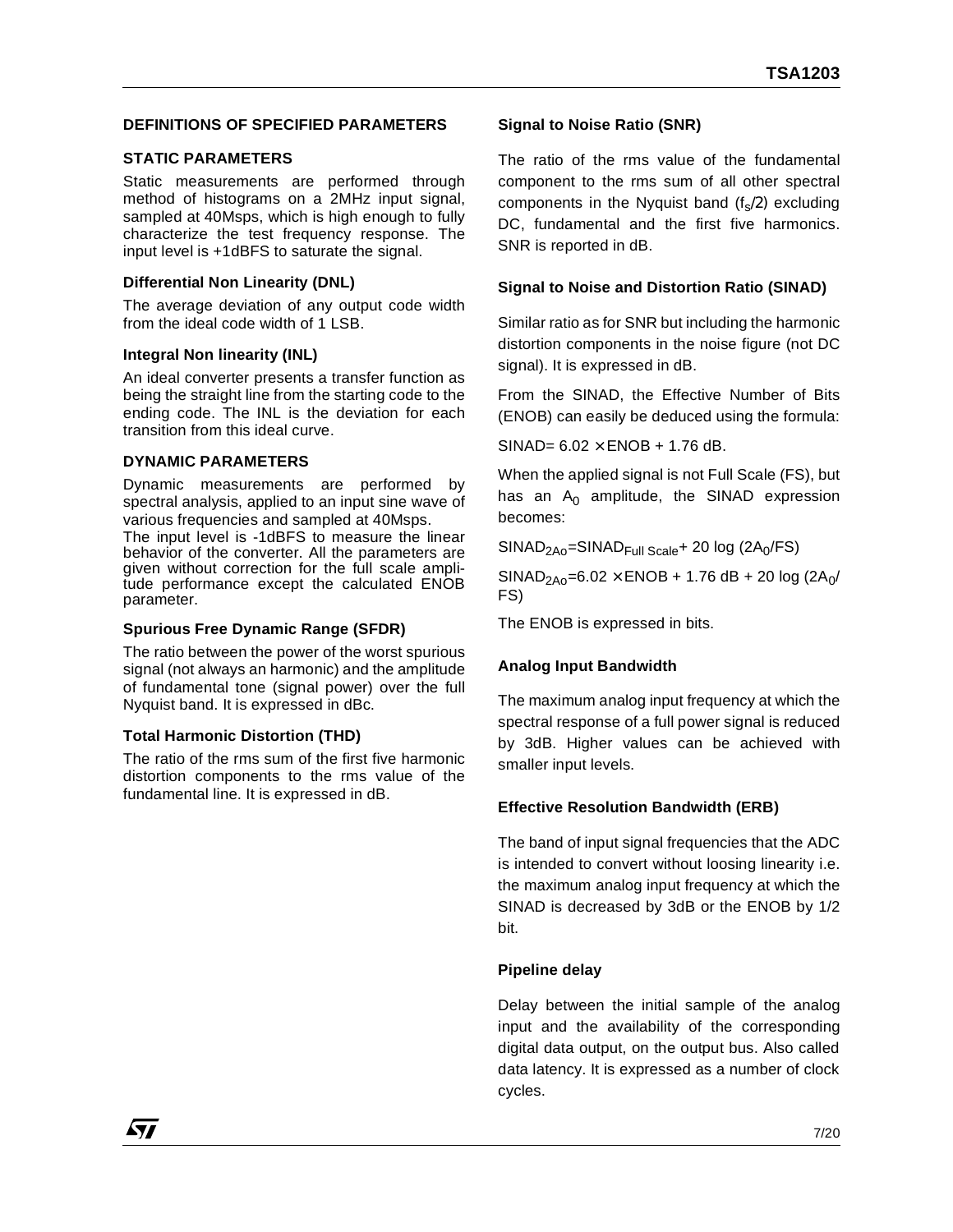## **DEFINITIONS OF SPECIFIED PARAMETERS**

#### **STATIC PARAMETERS**

Static measurements are performed through method of histograms on a 2MHz input signal, sampled at 40Msps, which is high enough to fully characterize the test frequency response. The input level is +1dBFS to saturate the signal.

#### **Differential Non Linearity (DNL)**

The average deviation of any output code width from the ideal code width of 1 LSB.

#### **Integral Non linearity (INL)**

An ideal converter presents a transfer function as being the straight line from the starting code to the ending code. The INL is the deviation for each transition from this ideal curve.

#### **DYNAMIC PARAMETERS**

Dynamic measurements are performed by spectral analysis, applied to an input sine wave of various frequencies and sampled at 40Msps.

The input level is -1dBFS to measure the linear behavior of the converter. All the parameters are given without correction for the full scale amplitude performance except the calculated ENOB parameter.

#### **Spurious Free Dynamic Range (SFDR)**

The ratio between the power of the worst spurious signal (not always an harmonic) and the amplitude of fundamental tone (signal power) over the full Nyquist band. It is expressed in dBc.

#### **Total Harmonic Distortion (THD)**

The ratio of the rms sum of the first five harmonic distortion components to the rms value of the fundamental line. It is expressed in dB.

#### **Signal to Noise Ratio (SNR)**

The ratio of the rms value of the fundamental component to the rms sum of all other spectral components in the Nyquist band  $(f_s/2)$  excluding DC, fundamental and the first five harmonics. SNR is reported in dB.

#### **Signal to Noise and Distortion Ratio (SINAD)**

Similar ratio as for SNR but including the harmonic distortion components in the noise figure (not DC signal). It is expressed in dB.

From the SINAD, the Effective Number of Bits (ENOB) can easily be deduced using the formula:

 $SINAD= 6.02 \times FNOR + 1.76$  dB.

When the applied signal is not Full Scale (FS), but has an  $A_0$  amplitude, the SINAD expression becomes:

 $SINAD<sub>2AO</sub>=SINAD<sub>Full Scale</sub>+ 20 log (2A<sub>0</sub>/FS)$ 

 $SINAD<sub>2AO</sub>=6.02 \times ENOB + 1.76 dB + 20 log (2A<sub>0</sub>/)$ FS)

The ENOB is expressed in bits.

#### **Analog Input Bandwidth**

The maximum analog input frequency at which the spectral response of a full power signal is reduced by 3dB. Higher values can be achieved with smaller input levels.

#### **Effective Resolution Bandwidth (ERB)**

The band of input signal frequencies that the ADC is intended to convert without loosing linearity i.e. the maximum analog input frequency at which the SINAD is decreased by 3dB or the ENOB by 1/2 bit.

#### **Pipeline delay**

Delay between the initial sample of the analog input and the availability of the corresponding digital data output, on the output bus. Also called data latency. It is expressed as a number of clock cycles.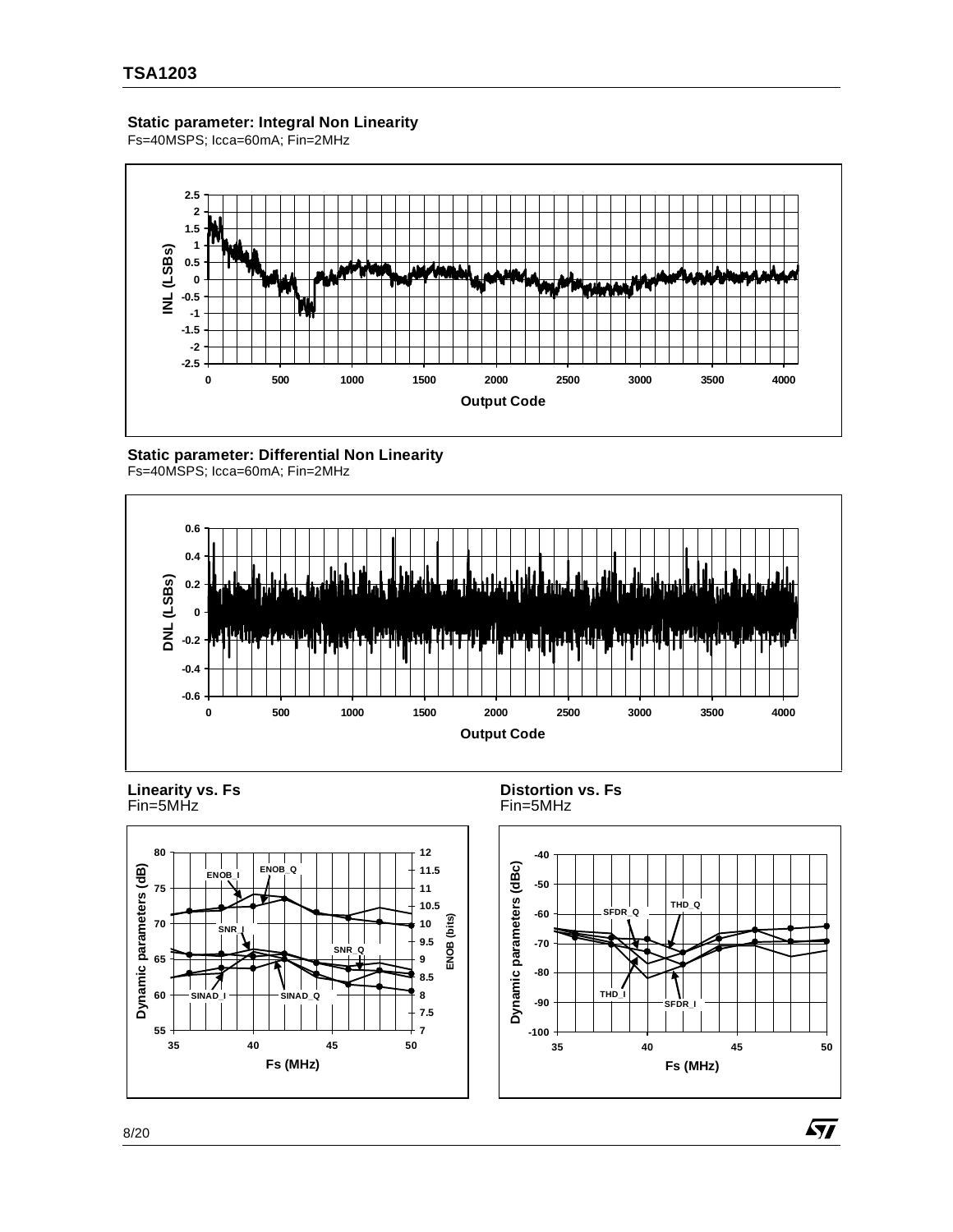## **Static parameter: Integral Non Linearity**

Fs=40MSPS; Icca=60mA; Fin=2MHz



## **Static parameter: Differential Non Linearity**









**Distortion vs. Fs** Fin=5MHz



57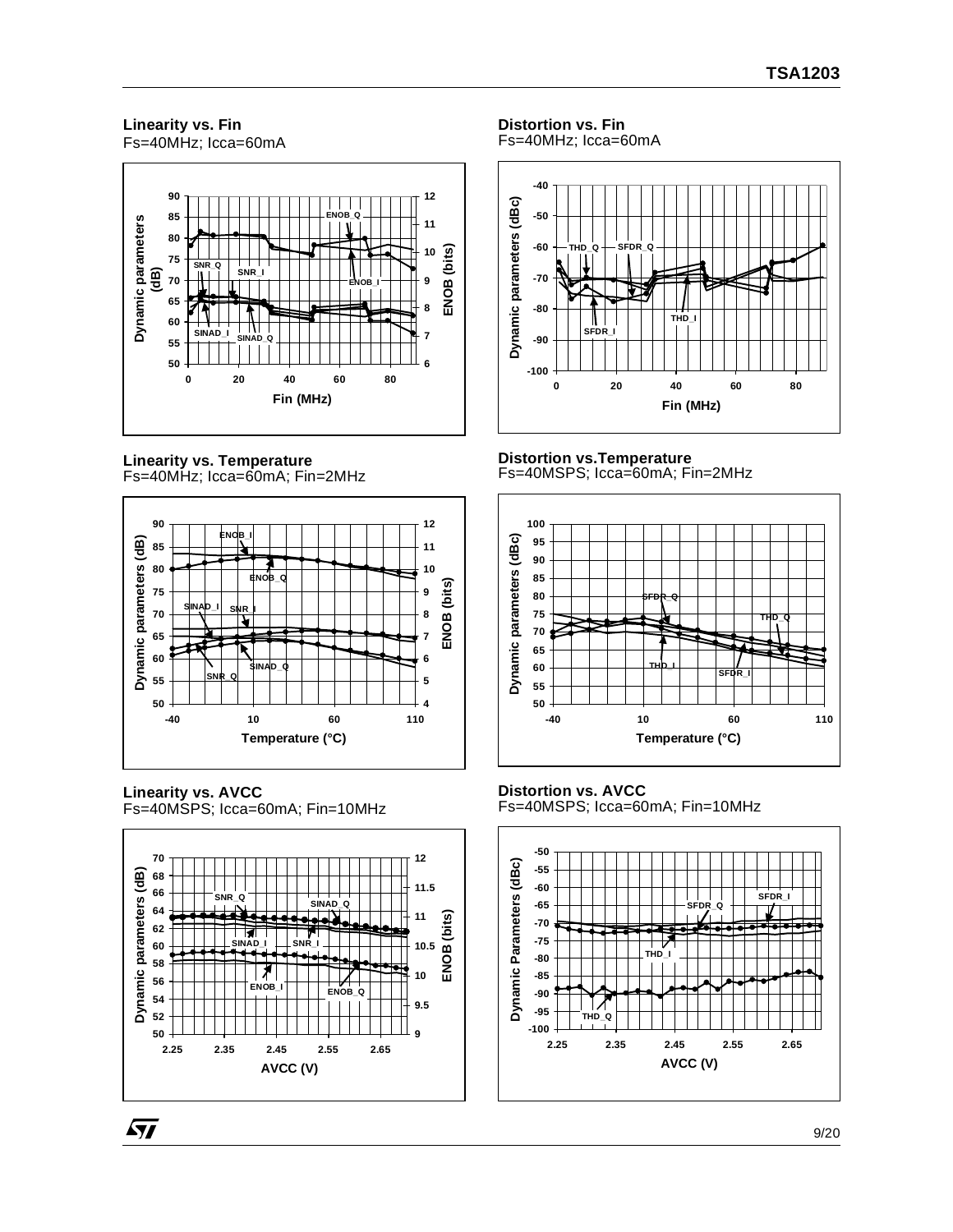#### **Linearity vs. Fin** Fs=40MHz; Icca=60mA



**Linearity vs. Temperature** Fs=40MHz; Icca=60mA; Fin=2MHz



**Linearity vs. AVCC** Fs=40MSPS; Icca=60mA; Fin=10MHz

57



## **Distortion vs. Fin**

Fs=40MHz; Icca=60mA



#### **Distortion vs.Temperature** Fs=40MSPS; Icca=60mA; Fin=2MHz



## **Distortion vs. AVCC**

Fs=40MSPS; Icca=60mA; Fin=10MHz

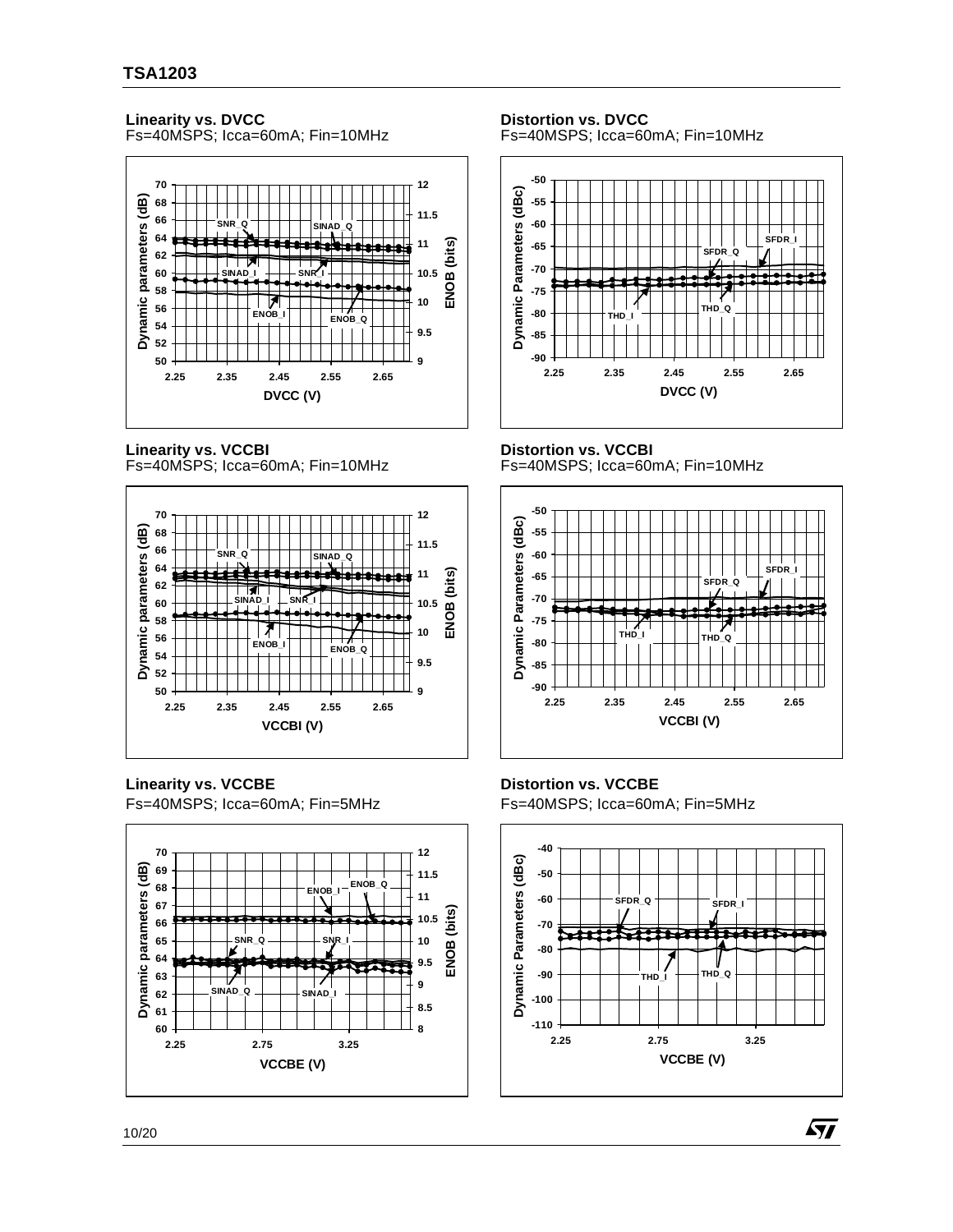## **Linearity vs. DVCC**

Fs=40MSPS; Icca=60mA; Fin=10MHz



**Linearity vs. VCCBI**

Fs=40MSPS; Icca=60mA; Fin=10MHz



**Linearity vs. VCCBE**

Fs=40MSPS; Icca=60mA; Fin=5MHz



**Distortion vs. DVCC** Fs=40MSPS; Icca=60mA; Fin=10MHz



#### **Distortion vs. VCCBI**

Fs=40MSPS; Icca=60mA; Fin=10MHz



## **Distortion vs. VCCBE**

Fs=40MSPS; Icca=60mA; Fin=5MHz



57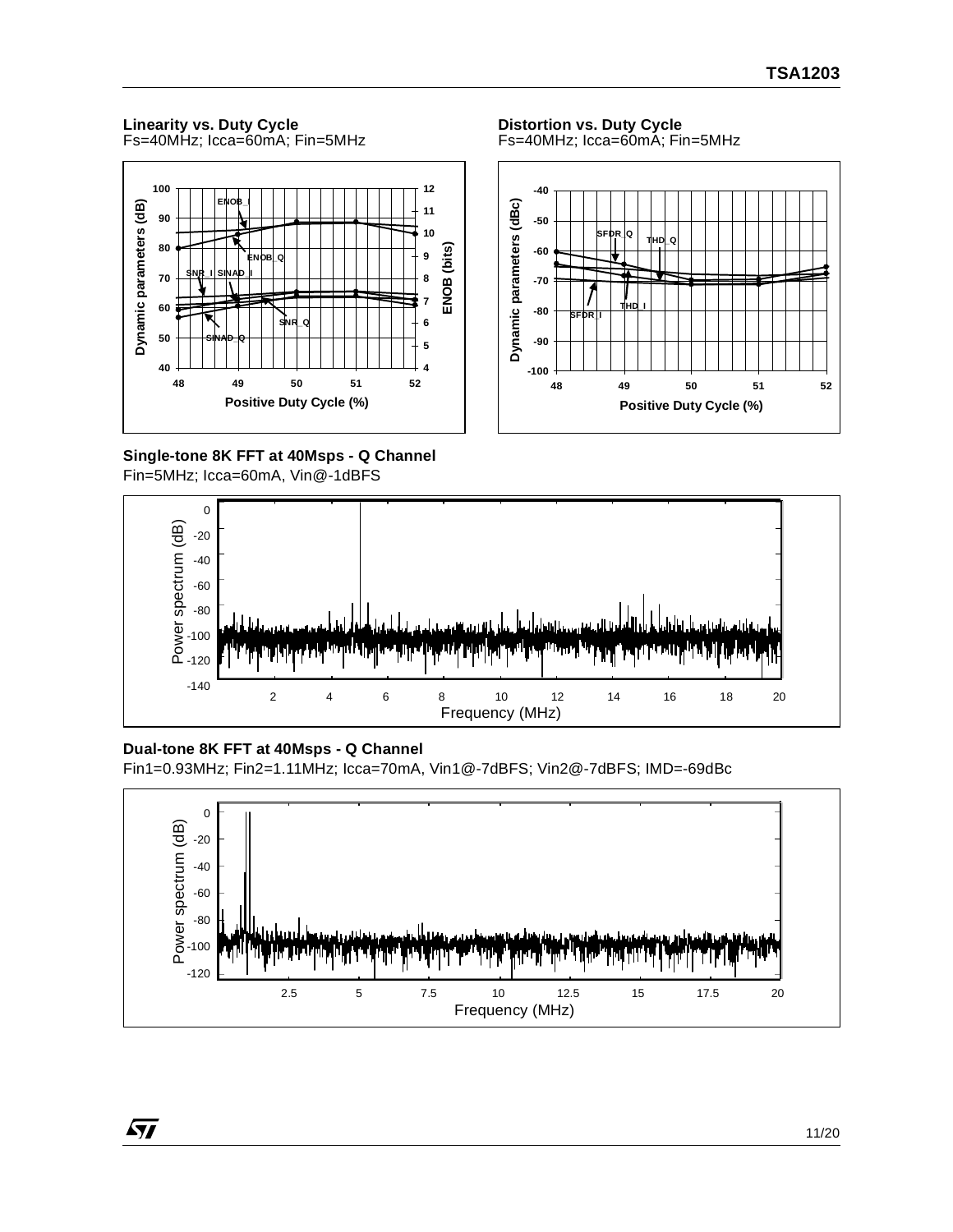## **Linearity vs. Duty Cycle**

Fs=40MHz; Icca=60mA; Fin=5MHz



**Single-tone 8K FFT at 40Msps - Q Channel** Fin=5MHz; Icca=60mA, Vin@-1dBFS



## **Dual-tone 8K FFT at 40Msps - Q Channel**

Fin1=0.93MHz; Fin2=1.11MHz; Icca=70mA, Vin1@-7dBFS; Vin2@-7dBFS; IMD=-69dBc



**Distortion vs. Duty Cycle** Fs=40MHz; Icca=60mA; Fin=5MHz

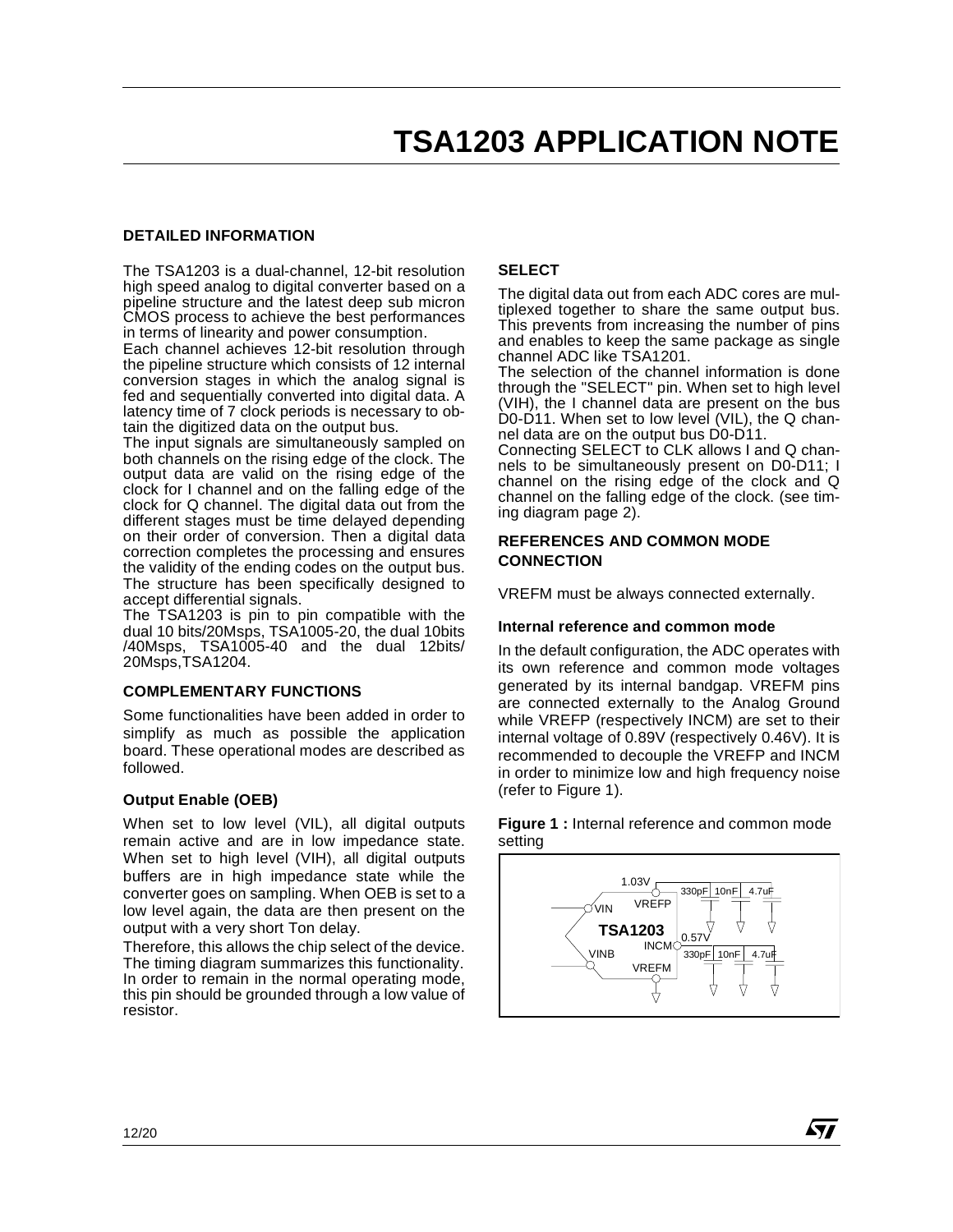## **DETAILED INFORMATION**

The TSA1203 is a dual-channel, 12-bit resolution high speed analog to digital converter based on a pipeline structure and the latest deep sub micron CMOS process to achieve the best performances in terms of linearity and power consumption.

Each channel achieves 12-bit resolution through the pipeline structure which consists of 12 internal conversion stages in which the analog signal is fed and sequentially converted into digital data. A latency time of 7 clock periods is necessary to obtain the digitized data on the output bus.

The input signals are simultaneously sampled on both channels on the rising edge of the clock. The output data are valid on the rising edge of the clock for I channel and on the falling edge of the clock for Q channel. The digital data out from the different stages must be time delayed depending on their order of conversion. Then a digital data correction completes the processing and ensures the validity of the ending codes on the output bus. The structure has been specifically designed to accept differential signals.

The TSA1203 is pin to pin compatible with the dual 10 bits/20Msps, TSA1005-20, the dual 10bits /40Msps, TSA1005-40 and the dual 12bits/ 20Msps,TSA1204.

## **COMPLEMENTARY FUNCTIONS**

Some functionalities have been added in order to simplify as much as possible the application board. These operational modes are described as followed.

#### **Output Enable (OEB)**

When set to low level (VIL), all digital outputs remain active and are in low impedance state. When set to high level (VIH), all digital outputs buffers are in high impedance state while the converter goes on sampling. When OEB is set to a low level again, the data are then present on the output with a very short Ton delay.

Therefore, this allows the chip select of the device. The timing diagram summarizes this functionality. In order to remain in the normal operating mode, this pin should be grounded through a low value of resistor.

## **SELECT**

The digital data out from each ADC cores are multiplexed together to share the same output bus. This prevents from increasing the number of pins and enables to keep the same package as single channel ADC like TSA1201.

The selection of the channel information is done through the "SELECT" pin. When set to high level (VIH), the I channel data are present on the bus D0-D11. When set to low level (VIL), the Q channel data are on the output bus D0-D11.

Connecting SELECT to CLK allows I and Q channels to be simultaneously present on D0-D11; I channel on the rising edge of the clock and Q channel on the falling edge of the clock. (see timing diagram page 2).

## **REFERENCES AND COMMON MODE CONNECTION**

VREFM must be always connected externally.

#### **Internal reference and common mode**

In the default configuration, the ADC operates with its own reference and common mode voltages generated by its internal bandgap. VREFM pins are connected externally to the Analog Ground while VREFP (respectively INCM) are set to their internal voltage of 0.89V (respectively 0.46V). It is recommended to decouple the VREFP and INCM in order to minimize low and high frequency noise (refer to Figure 1).



47/

**Figure 1 :** Internal reference and common mode setting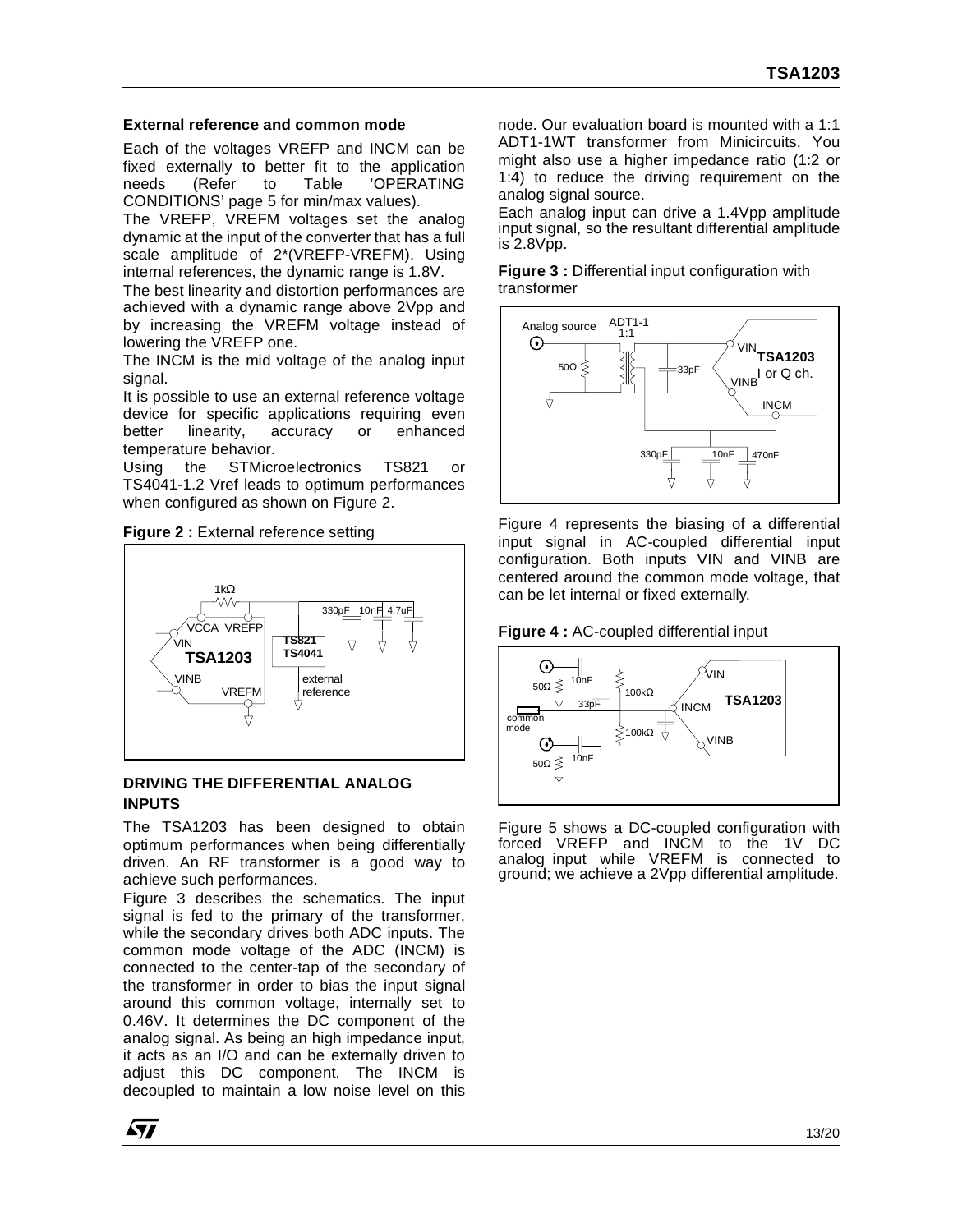## **External reference and common mode**

Each of the voltages VREFP and INCM can be fixed externally to better fit to the application needs (Refer to Table 'OPERATING CONDITIONS' page 5 for min/max values).

The VREFP, VREFM voltages set the analog dynamic at the input of the converter that has a full scale amplitude of 2\*(VREFP-VREFM). Using internal references, the dynamic range is 1.8V.

The best linearity and distortion performances are achieved with a dynamic range above 2Vpp and by increasing the VREFM voltage instead of lowering the VREFP one.

The INCM is the mid voltage of the analog input signal.

It is possible to use an external reference voltage device for specific applications requiring even better linearity, accuracy or enhanced temperature behavior.

Using the STMicroelectronics TS821 or TS4041-1.2 Vref leads to optimum performances when configured as shown on Figure 2.

**Figure 2 : External reference setting** 



## **DRIVING THE DIFFERENTIAL ANALOG INPUTS**

The TSA1203 has been designed to obtain optimum performances when being differentially driven. An RF transformer is a good way to achieve such performances.

Figure 3 describes the schematics. The input signal is fed to the primary of the transformer, while the secondary drives both ADC inputs. The common mode voltage of the ADC (INCM) is connected to the center-tap of the secondary of the transformer in order to bias the input signal around this common voltage, internally set to 0.46V. It determines the DC component of the analog signal. As being an high impedance input, it acts as an I/O and can be externally driven to adjust this DC component. The INCM is decoupled to maintain a low noise level on this

node. Our evaluation board is mounted with a 1:1 ADT1-1WT transformer from Minicircuits. You might also use a higher impedance ratio (1:2 or 1:4) to reduce the driving requirement on the analog signal source.

Each analog input can drive a 1.4Vpp amplitude input signal, so the resultant differential amplitude is 2.8Vpp.

**Figure 3 :** Differential input configuration with transformer



Figure 4 represents the biasing of a differential input signal in AC-coupled differential input configuration. Both inputs VIN and VINB are centered around the common mode voltage, that can be let internal or fixed externally.





Figure 5 shows a DC-coupled configuration with forced VREFP and INCM to the analog input while VREFM is connected to ground; we achieve a 2Vpp differential amplitude.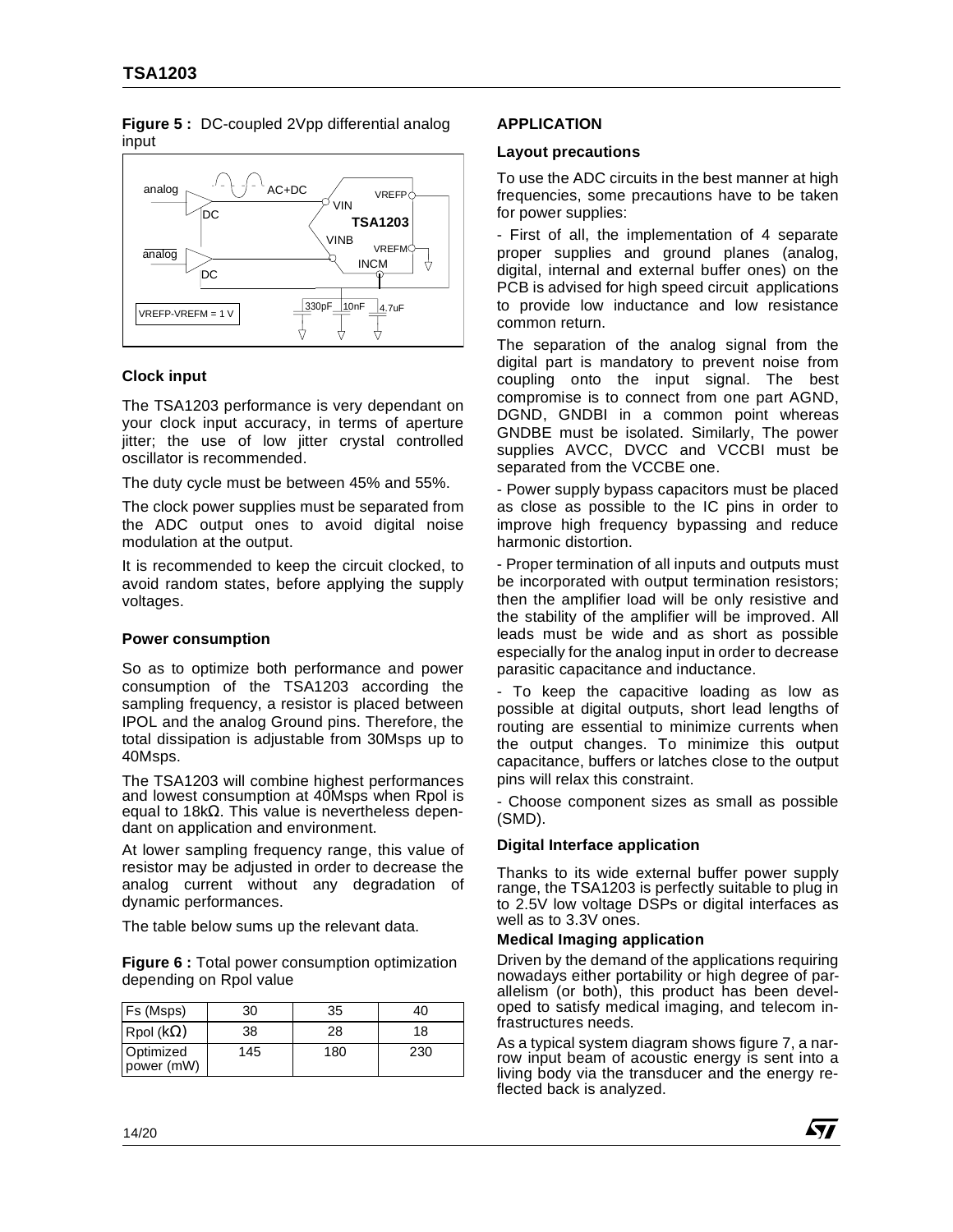

#### **Figure 5 :** DC-coupled 2Vpp differential analog input

## **Clock input**

The TSA1203 performance is very dependant on your clock input accuracy, in terms of aperture jitter; the use of low jitter crystal controlled oscillator is recommended.

The duty cycle must be between 45% and 55%.

The clock power supplies must be separated from the ADC output ones to avoid digital noise modulation at the output.

It is recommended to keep the circuit clocked, to avoid random states, before applying the supply voltages.

## **Power consumption**

So as to optimize both performance and power consumption of the TSA1203 according the sampling frequency, a resistor is placed between IPOL and the analog Ground pins. Therefore, the total dissipation is adjustable from 30Msps up to 40Msps.

The TSA1203 will combine highest performances and lowest consumption at 40Msps when Rpol is equal to 18kΩ. This value is nevertheless dependant on application and environment.

At lower sampling frequency range, this value of resistor may be adjusted in order to decrease the analog current without any degradation of dynamic performances.

The table below sums up the relevant data.

**Figure 6 :** Total power consumption optimization depending on Rpol value

| Fs (Msps)               | 30  | 35  | 40  |  |
|-------------------------|-----|-----|-----|--|
| Rpol ( $k\Omega$ )      | 38  | 28  | 18  |  |
| Optimized<br>power (mW) | 145 | 180 | 230 |  |

## **APPLICATION**

## **Layout precautions**

To use the ADC circuits in the best manner at high frequencies, some precautions have to be taken for power supplies:

- First of all, the implementation of 4 separate proper supplies and ground planes (analog, digital, internal and external buffer ones) on the PCB is advised for high speed circuit applications to provide low inductance and low resistance common return.

The separation of the analog signal from the digital part is mandatory to prevent noise from coupling onto the input signal. The best compromise is to connect from one part AGND, DGND, GNDBI in a common point whereas GNDBE must be isolated. Similarly, The power supplies AVCC, DVCC and VCCBI must be separated from the VCCBE one.

- Power supply bypass capacitors must be placed as close as possible to the IC pins in order to improve high frequency bypassing and reduce harmonic distortion.

- Proper termination of all inputs and outputs must be incorporated with output termination resistors; then the amplifier load will be only resistive and the stability of the amplifier will be improved. All leads must be wide and as short as possible especially for the analog input in order to decrease parasitic capacitance and inductance.

- To keep the capacitive loading as low as possible at digital outputs, short lead lengths of routing are essential to minimize currents when the output changes. To minimize this output capacitance, buffers or latches close to the output pins will relax this constraint.

- Choose component sizes as small as possible (SMD).

## **Digital Interface application**

Thanks to its wide external buffer power supply range, the TSA1203 is perfectly suitable to plug in to 2.5V low voltage DSPs or digital interfaces as well as to 3.3V ones.

#### **Medical Imaging application**

Driven by the demand of the applications requiring nowadays either portability or high degree of parallelism (or both), this product has been developed to satisfy medical imaging, and telecom infrastructures needs.

As a typical system diagram shows figure 7, a narrow input beam of acoustic energy is sent into a living body via the transducer and the energy reflected back is analyzed.

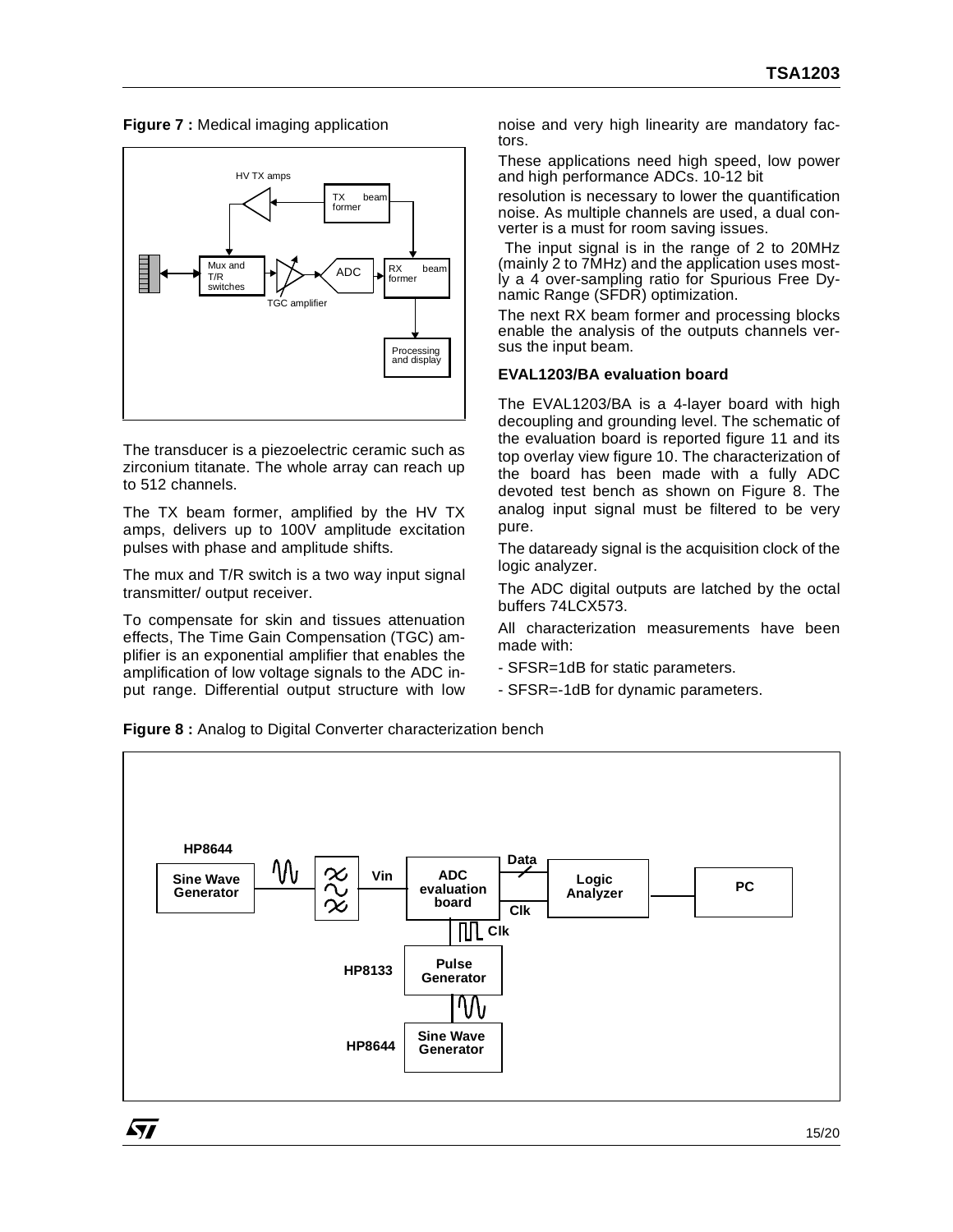**Figure 7 :** Medical imaging application



The transducer is a piezoelectric ceramic such as zirconium titanate. The whole array can reach up to 512 channels.

The TX beam former, amplified by the HV TX amps, delivers up to 100V amplitude excitation pulses with phase and amplitude shifts.

The mux and T/R switch is a two way input signal transmitter/ output receiver.

To compensate for skin and tissues attenuation effects, The Time Gain Compensation (TGC) amplifier is an exponential amplifier that enables the amplification of low voltage signals to the ADC input range. Differential output structure with low noise and very high linearity are mandatory factors.

These applications need high speed, low power and high performance ADCs. 10-12 bit

resolution is necessary to lower the quantification noise. As multiple channels are used, a dual converter is a must for room saving issues.

 The input signal is in the range of 2 to 20MHz (mainly 2 to 7MHz) and the application uses mostly a 4 over-sampling ratio for Spurious Free Dynamic Range (SFDR) optimization.

The next RX beam former and processing blocks enable the analysis of the outputs channels versus the input beam.

## **EVAL1203/BA evaluation board**

The EVAL1203/BA is a 4-layer board with high decoupling and grounding level. The schematic of the evaluation board is reported figure 11 and its top overlay view figure 10. The characterization of the board has been made with a fully ADC devoted test bench as shown on Figure 8. The analog input signal must be filtered to be very pure.

The dataready signal is the acquisition clock of the logic analyzer.

The ADC digital outputs are latched by the octal buffers 74LCX573.

All characterization measurements have been made with:

- SFSR=1dB for static parameters.
- SFSR=-1dB for dynamic parameters.

**Figure 8 :** Analog to Digital Converter characterization bench

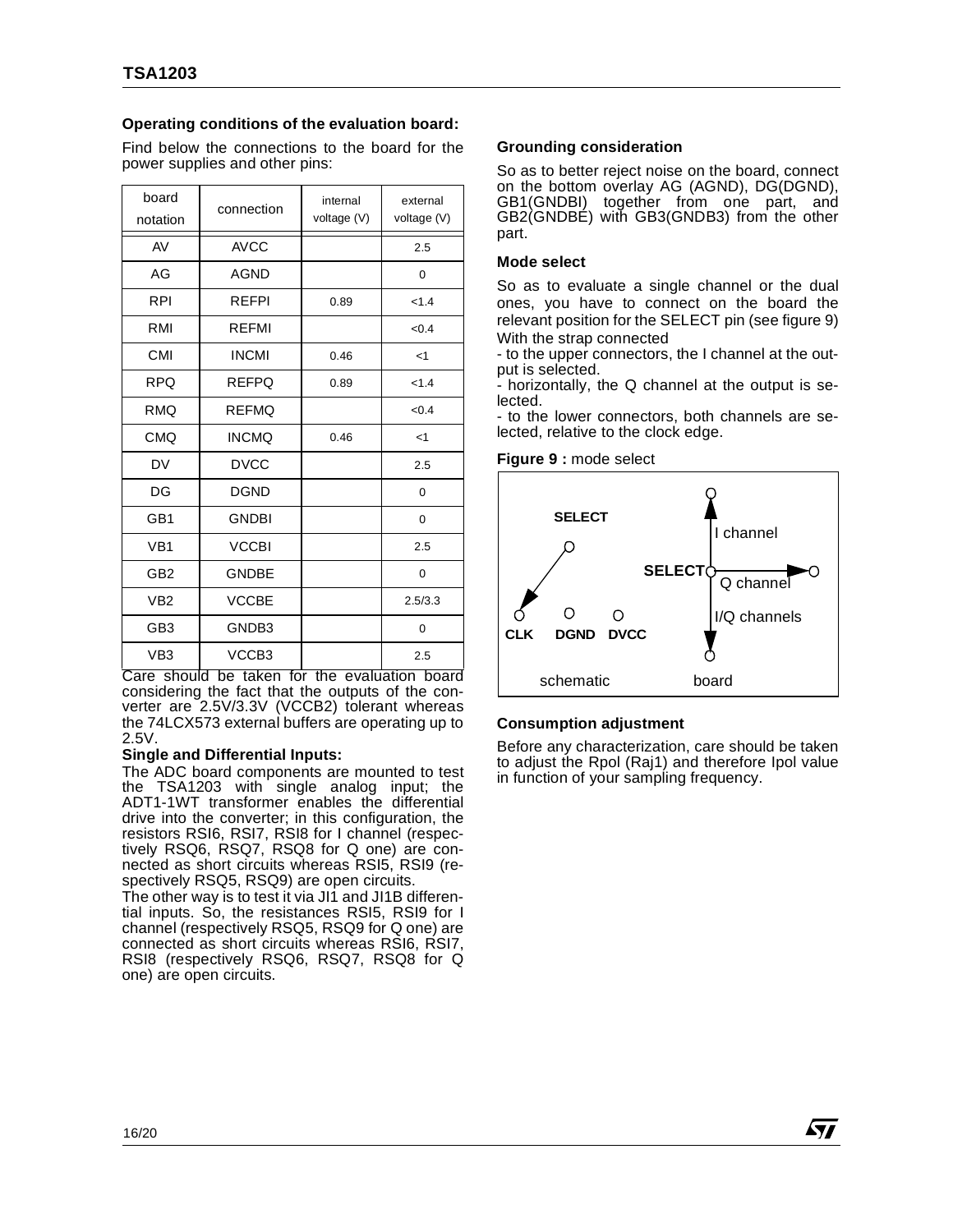## **Operating conditions of the evaluation board:**

Find below the connections to the board for the power supplies and other pins:

| board<br>notation | connection   | internal<br>voltage (V) | external<br>voltage (V) |  |
|-------------------|--------------|-------------------------|-------------------------|--|
| AV                | <b>AVCC</b>  |                         | 2.5                     |  |
| AG                | <b>AGND</b>  |                         | 0                       |  |
| <b>RPI</b>        | <b>RFFPI</b> | 0.89                    | < 1.4                   |  |
| RMI               | <b>RFFMI</b> |                         | <0.4                    |  |
| CMI               | <b>INCMI</b> | 0.46                    | $<$ 1                   |  |
| <b>RPQ</b>        | <b>REFPQ</b> | 0.89                    | < 1.4                   |  |
| <b>RMQ</b>        | <b>REFMQ</b> |                         | < 0.4                   |  |
| <b>CMQ</b>        | <b>INCMQ</b> | 0.46                    | $<$ 1                   |  |
| DV                | <b>DVCC</b>  |                         | 2.5                     |  |
| DG                | <b>DGND</b>  |                         | 0                       |  |
| GB1               | <b>GNDBI</b> |                         | 0                       |  |
| VB <sub>1</sub>   | <b>VCCBI</b> |                         | 2.5                     |  |
| GB <sub>2</sub>   | <b>GNDBE</b> |                         | $\Omega$                |  |
| VB <sub>2</sub>   | <b>VCCBE</b> |                         | 2.5/3.3                 |  |
| GB <sub>3</sub>   | GNDB3        |                         | 0                       |  |
| VB <sub>3</sub>   | VCCB3        |                         | 2.5                     |  |

Care should be taken for the evaluation board considering the fact that the outputs of the converter are 2.5V/3.3V (VCCB2) tolerant whereas the 74LCX573 external buffers are operating up to 2.5V.

#### **Single and Differential Inputs:**

The ADC board components are mounted to test the TSA1203 with single analog input; the ADT1-1WT transformer enables the differential drive into the converter; in this configuration, the resistors RSI6, RSI7, RSI8 for I channel (respectively RSQ6, RSQ7, RSQ8 for Q one) are connected as short circuits whereas RSI5, RSI9 (respectively RSQ5, RSQ9) are open circuits.

The other way is to test it via JI1 and JI1B differential inputs. So, the resistances RSI5, RSI9 for I channel (respectively RSQ5, RSQ9 for Q one) are connected as short circuits whereas RSI6, RSI7, RSI8 (respectively RSQ6, RSQ7, RSQ8 for Q one) are open circuits.

#### **Grounding consideration**

So as to better reject noise on the board, connect on the bottom overlay AG (AGND), DG(DGND), GB1(GNDBI) together from one part, and GB2(GNDBE) with GB3(GNDB3) from the other part.

#### **Mode select**

So as to evaluate a single channel or the dual ones, you have to connect on the board the relevant position for the SELECT pin (see figure 9) With the strap connected

- to the upper connectors, the I channel at the output is selected.

- horizontally, the Q channel at the output is selected.

- to the lower connectors, both channels are selected, relative to the clock edge.

**Figure 9 :** mode select



#### **Consumption adjustment**

Before any characterization, care should be taken to adjust the Rpol (Raj1) and therefore Ipol value in function of your sampling frequency.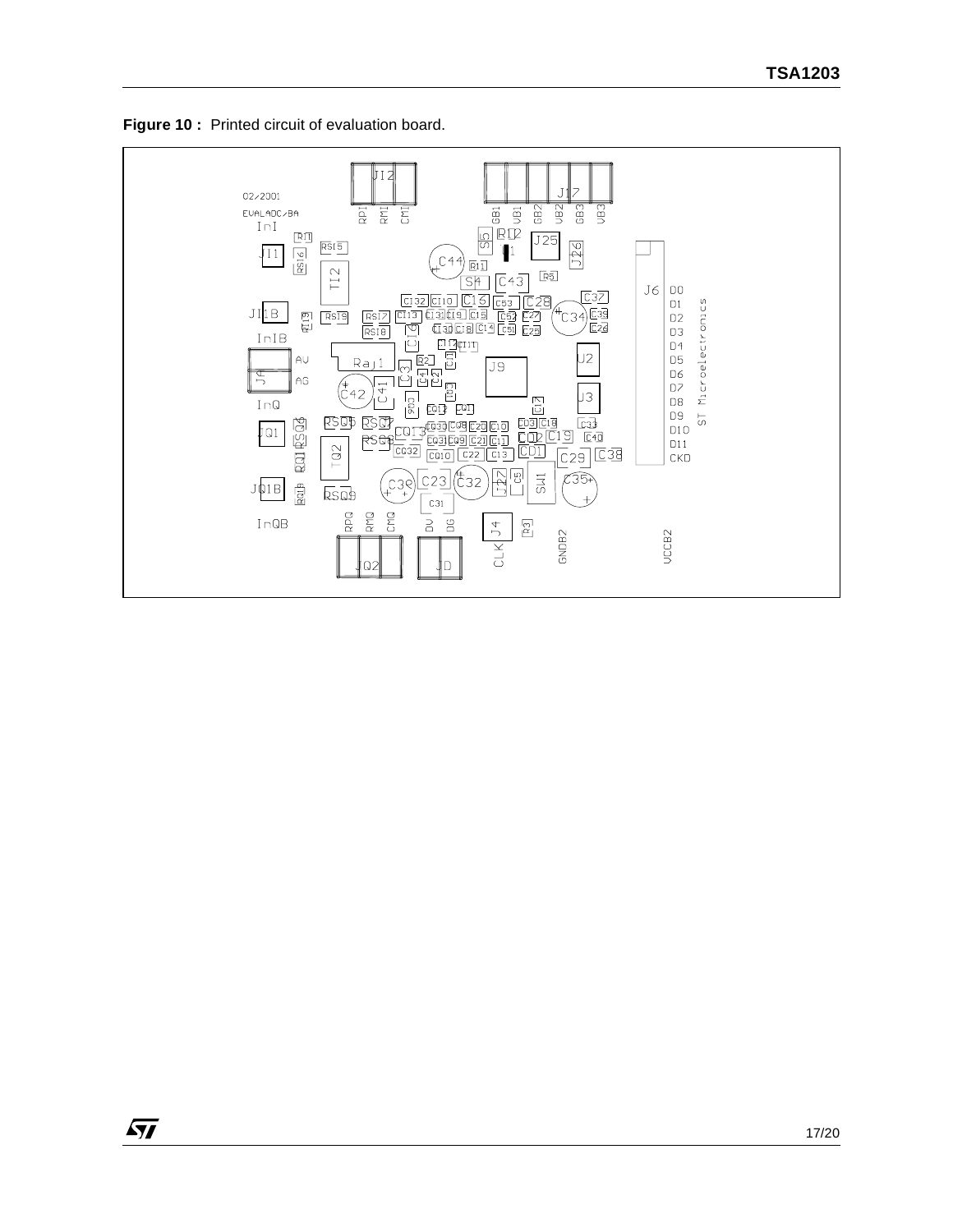

**S77** 

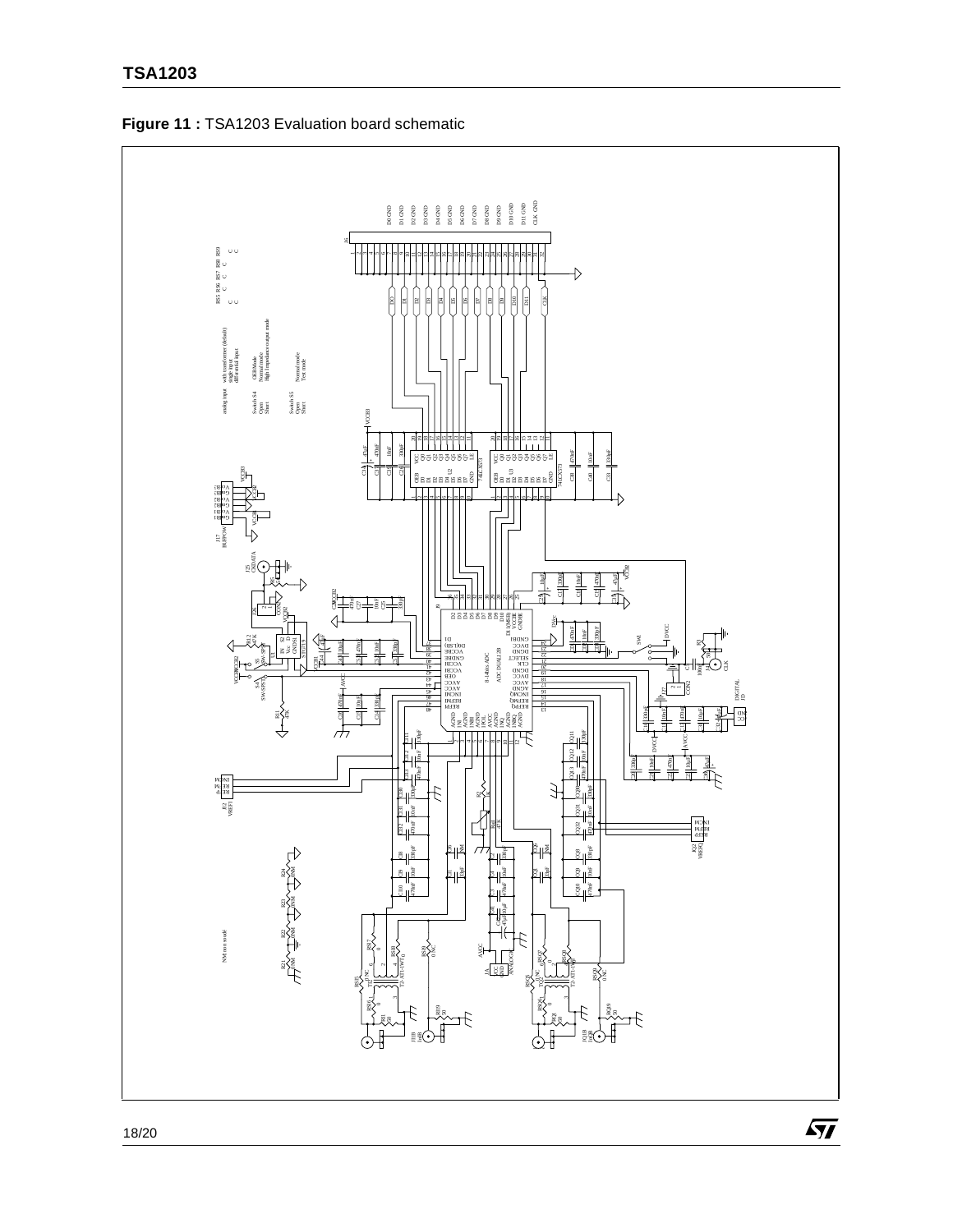



18/20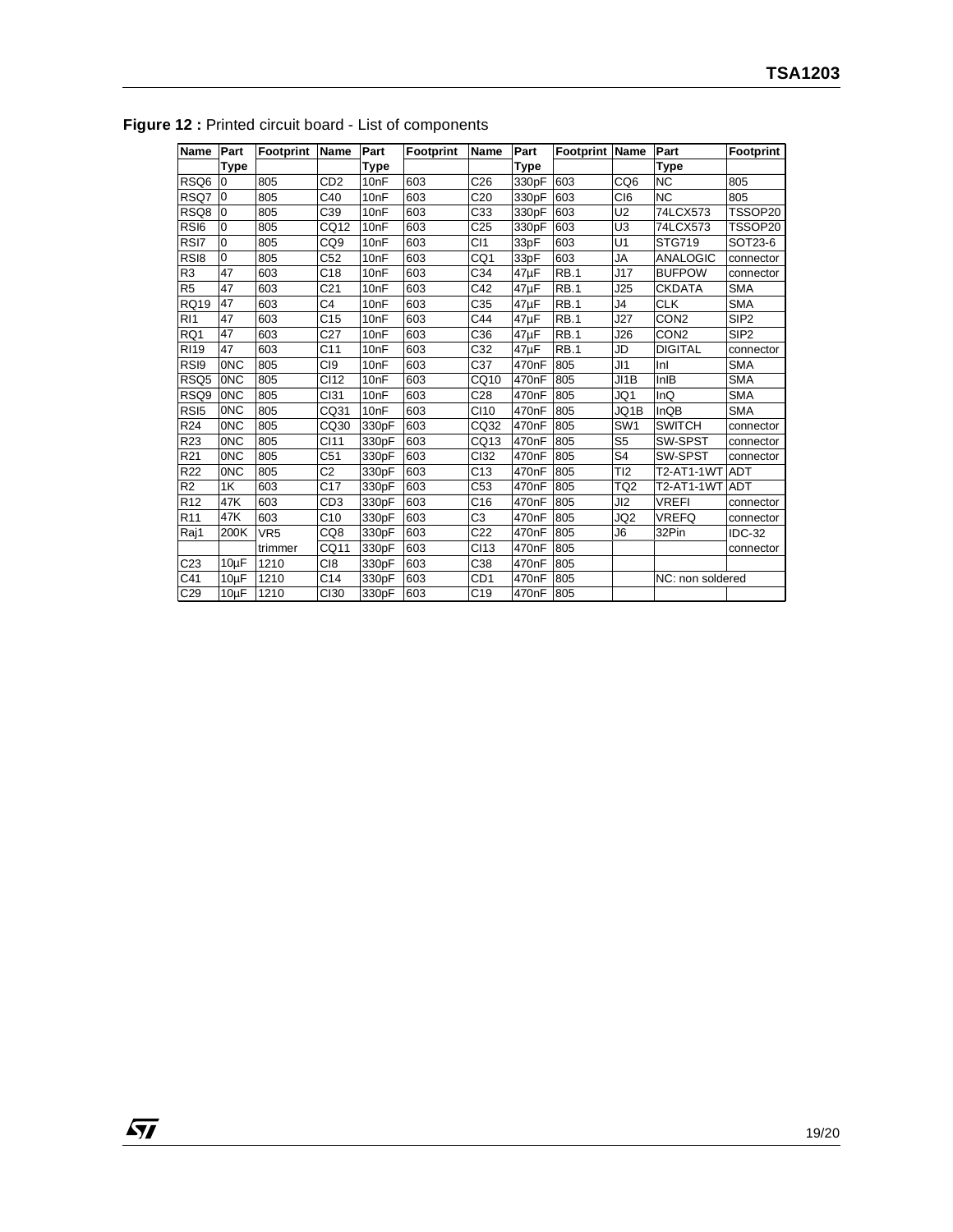| Name             | Part        | <b>Footprint</b> | <b>Name</b>                 | Part             | <b>Footprint</b> | <b>Name</b>     | Part               | Footprint Name |                 | Part             | Footprint        |
|------------------|-------------|------------------|-----------------------------|------------------|------------------|-----------------|--------------------|----------------|-----------------|------------------|------------------|
|                  | <b>Type</b> |                  |                             | Type             |                  |                 | <b>Type</b>        |                |                 | <b>Type</b>      |                  |
| RSQ6             | l0          | 805              | C <sub>D</sub> <sub>2</sub> | 10 <sub>nF</sub> | 603              | C <sub>26</sub> | 330pF              | 603            | CQ <sub>6</sub> | <b>NC</b>        | 805              |
| RSQ7             | l0          | 805              | C40                         | 10 <sub>nF</sub> | 603              | C <sub>20</sub> | 330pF              | 603            | C <sub>I6</sub> | <b>NC</b>        | 805              |
| RSQ8             | l0          | 805              | C39                         | 10 <sub>nF</sub> | 603              | C33             | 330pF              | 603            | U <sub>2</sub>  | 74LCX573         | TSSOP20          |
| RSI6             | l0          | 805              | CQ12                        | 10 <sub>nF</sub> | 603              | C <sub>25</sub> | 330pF              | 603            | U <sub>3</sub>  | 74LCX573         | TSSOP20          |
| RSI7             | $\mathbf 0$ | 805              | CQ <sub>9</sub>             | 10 <sub>nF</sub> | 603              | C <sub>11</sub> | 33pF               | 603            | U1              | <b>STG719</b>    | SOT23-6          |
| RS <sub>I8</sub> | $\mathbf 0$ | 805              | C <sub>52</sub>             | 10nF             | 603              | CQ1             | 33pF               | 603            | <b>JA</b>       | <b>ANALOGIC</b>  | connector        |
| R <sub>3</sub>   | 47          | 603              | C18                         | 10 <sub>nF</sub> | 603              | C <sub>34</sub> | $47\mu F$          | RB.1           | J17             | <b>BUFPOW</b>    | connector        |
| R <sub>5</sub>   | 47          | 603              | C <sub>21</sub>             | 10 <sub>nF</sub> | 603              | C42             | $47\mu F$          | RB.1           | J25             | <b>CKDATA</b>    | <b>SMA</b>       |
| <b>RQ19</b>      | 47          | 603              | C <sub>4</sub>              | 10 <sub>nF</sub> | 603              | C <sub>35</sub> | 47µF               | <b>RB.1</b>    | J4              | <b>CLK</b>       | <b>SMA</b>       |
| R <sub>11</sub>  | 47          | 603              | C <sub>15</sub>             | 10 <sub>nF</sub> | 603              | C44             | $47\mu F$          | <b>RB.1</b>    | J27             | CON <sub>2</sub> | SIP <sub>2</sub> |
| RQ1              | 47          | 603              | C <sub>27</sub>             | 10 <sub>nF</sub> | 603              | C <sub>36</sub> | $47\mu F$          | <b>RB.1</b>    | J26             | CON <sub>2</sub> | SIP <sub>2</sub> |
| <b>RI19</b>      | 47          | 603              | C <sub>11</sub>             | 10 <sub>nF</sub> | 603              | C32             | $47\mu F$          | RB.1           | <b>JD</b>       | <b>DIGITAL</b>   | connector        |
| RS <sub>I9</sub> | <b>ONC</b>  | 805              | C <sub>I9</sub>             | 10 <sub>nF</sub> | 603              | C37             | 470 <sub>n</sub> F | 805            | J11             | Inl              | <b>SMA</b>       |
| RSQ5             | <b>ONC</b>  | 805              | CI12                        | 10 <sub>nF</sub> | 603              | CQ10            | 470 <sub>n</sub> F | 805            | $J$ 1B          | InIB             | <b>SMA</b>       |
| RSQ9             | <b>ONC</b>  | 805              | CI31                        | 10 <sub>nF</sub> | 603              | C <sub>28</sub> | 470 <sub>n</sub> F | 805            | JQ1             | InQ              | <b>SMA</b>       |
| RS <sub>I5</sub> | <b>ONC</b>  | 805              | CQ31                        | 10 <sub>nF</sub> | 603              | CI10            | 470 <sub>n</sub> F | 805            | JQ1B            | InQB             | <b>SMA</b>       |
| R24              | <b>ONC</b>  | 805              | CQ30                        | 330pF            | 603              | CQ32            | 470 <sub>n</sub> F | 805            | SW <sub>1</sub> | <b>SWITCH</b>    | connector        |
| R23              | 0NC         | 805              | CI11                        | 330pF            | 603              | CQ13            | 470 <sub>n</sub> F | 805            | S <sub>5</sub>  | SW-SPST          | connector        |
| R <sub>21</sub>  | <b>ONC</b>  | 805              | C <sub>51</sub>             | 330pF            | 603              | <b>CI32</b>     | 470 <sub>n</sub> F | 805            | S <sub>4</sub>  | SW-SPST          | connector        |
| R <sub>22</sub>  | <b>ONC</b>  | 805              | C <sub>2</sub>              | 330pF            | 603              | C <sub>13</sub> | 470 <sub>n</sub> F | 805            | TI2             | T2-AT1-1WT       | <b>ADT</b>       |
| R <sub>2</sub>   | 1K          | 603              | C17                         | 330pF            | 603              | C53             | 470nF              | 805            | TQ <sub>2</sub> | T2-AT1-1WT       | <b>ADT</b>       |
| R <sub>12</sub>  | 47K         | 603              | CD <sub>3</sub>             | 330pF            | 603              | C16             | 470nF              | 805            | JI2             | <b>VREFI</b>     | connector        |
| R <sub>11</sub>  | 47K         | 603              | C10                         | 330pF            | 603              | C <sub>3</sub>  | 470 <sub>n</sub> F | 805            | JQ2             | <b>VREFQ</b>     | connector        |
| Raj1             | 200K        | VR <sub>5</sub>  | CQ8                         | 330pF            | 603              | C <sub>22</sub> | 470nF              | 805            | J <sub>6</sub>  | 32Pin            | <b>IDC-32</b>    |
|                  |             | trimmer          | CQ11                        | 330pF            | 603              | CI13            | 470 <sub>n</sub> F | 805            |                 |                  | connector        |
| C23              | $10\mu F$   | 1210             | C <sub>18</sub>             | 330pF            | 603              | C <sub>38</sub> | 470 <sub>n</sub> F | 805            |                 |                  |                  |
| C41              | $10\mu F$   | 1210             | C <sub>14</sub>             | 330pF            | 603              | CD <sub>1</sub> | 470 <sub>n</sub> F | 805            |                 | NC: non soldered |                  |
| C29              | $10\mu F$   | 1210             | <b>CI30</b>                 | 330pF            | 603              | C19             | 470 <sub>n</sub> F | 805            |                 |                  |                  |

**Figure 12 : Printed circuit board - List of components**